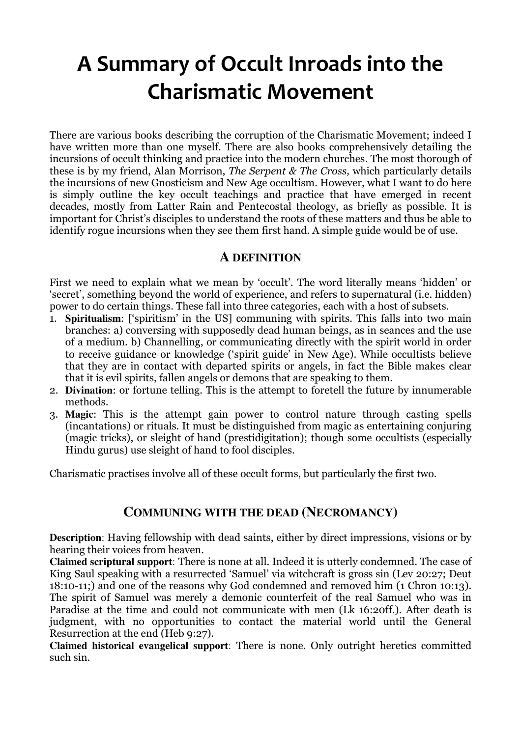# A Summary of Occult Inroads into the Charismatic Movement

There are various books describing the corruption of the Charismatic Movement; indeed I have written more than one myself. There are also books comprehensively detailing the incursions of occult thinking and practice into the modern churches. The most thorough of these is by my friend, Alan Morrison, The Serpent & The Cross, which particularly details the incursions of new Gnosticism and New Age occultism. However, what I want to do here is simply outline the key occult teachings and practice that have emerged in recent decades, mostly from Latter Rain and Pentecostal theology, as briefly as possible. It is important for Christ's disciples to understand the roots of these matters and thus be able to identify rogue incursions when they see them first hand. A simple guide would be of use.

# **A DEFINITION**

First we need to explain what we mean by 'occult'. The word literally means 'hidden' or 'secret', something beyond the world of experience, and refers to supernatural (i.e. hidden) power to do certain things. These fall into three categories, each with a host of subsets.

- 1. **Spiritualism**: ['spiritism' in the US] communing with spirits. This falls into two main branches: a) conversing with supposedly dead human beings, as in seances and the use of a medium. b) Channelling, or communicating directly with the spirit world in order to receive guidance or knowledge ('spirit guide' in New Age). While occultists believe that they are in contact with departed spirits or angels, in fact the Bible makes clear that it is evil spirits, fallen angels or demons that are speaking to them.
- 2. **Divination**: or fortune telling. This is the attempt to foretell the future by innumerable methods.
- 3. **Magic**: This is the attempt gain power to control nature through casting spells (incantations) or rituals. It must be distinguished from magic as entertaining conjuring (magic tricks), or sleight of hand (prestidigitation); though some occultists (especially Hindu gurus) use sleight of hand to fool disciples.

Charismatic practises involve all of these occult forms, but particularly the first two.

# **COMMUNING WITH THE DEAD (NECROMANCY)**

**Description**: Having fellowship with dead saints, either by direct impressions, visions or by hearing their voices from heaven.

**Claimed scriptural support**: There is none at all. Indeed it is utterly condemned. The case of King Saul speaking with a resurrected 'Samuel' via witchcraft is gross sin (Lev 20:27; Deut 18:10-11;) and one of the reasons why God condemned and removed him (1 Chron 10:13). The spirit of Samuel was merely a demonic counterfeit of the real Samuel who was in Paradise at the time and could not communicate with men (Lk 16:20ff.). After death is judgment, with no opportunities to contact the material world until the General Resurrection at the end (Heb 9:27).

**Claimed historical evangelical support**: There is none. Only outright heretics committed such sin.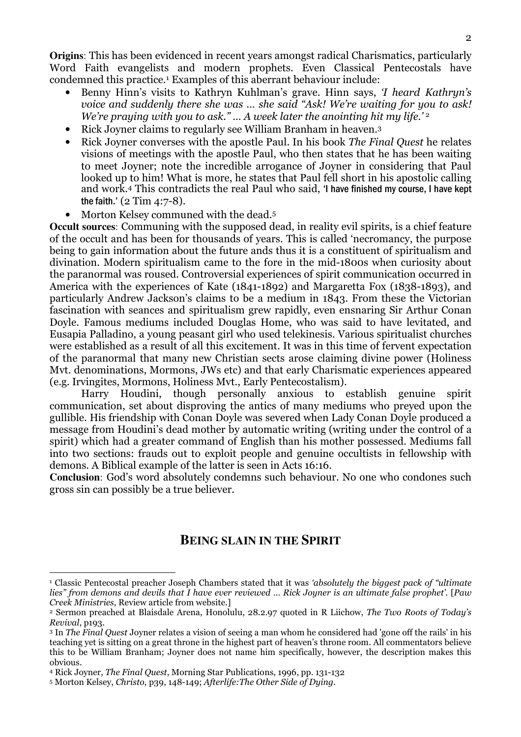**Origins**: This has been evidenced in recent years amongst radical Charismatics, particularly Word Faith evangelists and modern prophets. Even Classical Pentecostals have condemned this practice.<sup>1</sup> Examples of this aberrant behaviour include:

- Benny Hinn's visits to Kathryn Kuhlman's grave. Hinn says, 'I heard Kathryn's voice and suddenly there she was … she said "Ask! We're waiting for you to ask! We're praying with you to ask."... A week later the anointing hit my life.'<sup>2</sup>
- Rick Joyner claims to regularly see William Branham in heaven.<sup>3</sup>
- Rick Joyner converses with the apostle Paul. In his book *The Final Quest* he relates visions of meetings with the apostle Paul, who then states that he has been waiting to meet Joyner; note the incredible arrogance of Joyner in considering that Paul looked up to him! What is more, he states that Paul fell short in his apostolic calling and work.4 This contradicts the real Paul who said, 'I have finished my course, I have kept the faith.' (2 Tim 4:7-8).
- Morton Kelsey communed with the dead.<sup>5</sup>

**Occult sources**: Communing with the supposed dead, in reality evil spirits, is a chief feature of the occult and has been for thousands of years. This is called 'necromancy, the purpose being to gain information about the future ands thus it is a constituent of spiritualism and divination. Modern spiritualism came to the fore in the mid-1800s when curiosity about the paranormal was roused. Controversial experiences of spirit communication occurred in America with the experiences of Kate (1841-1892) and Margaretta Fox (1838-1893), and particularly Andrew Jackson's claims to be a medium in 1843. From these the Victorian fascination with seances and spiritualism grew rapidly, even ensnaring Sir Arthur Conan Doyle. Famous mediums included Douglas Home, who was said to have levitated, and Eusapia Palladino, a young peasant girl who used telekinesis. Various spiritualist churches were established as a result of all this excitement. It was in this time of fervent expectation of the paranormal that many new Christian sects arose claiming divine power (Holiness Mvt. denominations, Mormons, JWs etc) and that early Charismatic experiences appeared (e.g. Irvingites, Mormons, Holiness Mvt., Early Pentecostalism).

Harry Houdini, though personally anxious to establish genuine spirit communication, set about disproving the antics of many mediums who preyed upon the gullible. His friendship with Conan Doyle was severed when Lady Conan Doyle produced a message from Houdini's dead mother by automatic writing (writing under the control of a spirit) which had a greater command of English than his mother possessed. Mediums fall into two sections: frauds out to exploit people and genuine occultists in fellowship with demons. A Biblical example of the latter is seen in Acts 16:16.

**Conclusion**: God's word absolutely condemns such behaviour. No one who condones such gross sin can possibly be a true believer.

# **BEING SLAIN IN THE SPIRIT**

 $\overline{a}$ <sup>1</sup> Classic Pentecostal preacher Joseph Chambers stated that it was *'absolutely the biggest pack of "ultimate*" lies" from demons and devils that I have ever reviewed … Rick Joyner is an ultimate false prophet'. [Paw Creek Ministries, Review article from website.]

<sup>2</sup> Sermon preached at Blaisdale Arena, Honolulu, 28.2.97 quoted in R Liichow, The Two Roots of Today's Revival, p193.

<sup>&</sup>lt;sup>3</sup> In *The Final Quest Joyner relates a vision of seeing a man whom he considered had 'gone off the rails' in his* teaching yet is sitting on a great throne in the highest part of heaven's throne room. All commentators believe this to be William Branham; Joyner does not name him specifically, however, the description makes this obvious.

<sup>4</sup> Rick Joyner, The Final Quest, Morning Star Publications, 1996, pp. 131-132

<sup>5</sup> Morton Kelsey, Christo, p39, 148-149; Afterlife:The Other Side of Dying.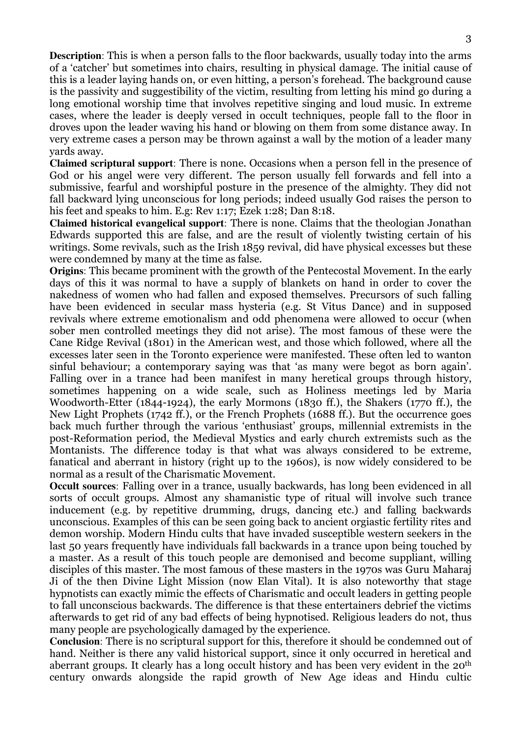**Description**: This is when a person falls to the floor backwards, usually today into the arms of a 'catcher' but sometimes into chairs, resulting in physical damage. The initial cause of this is a leader laying hands on, or even hitting, a person's forehead. The background cause is the passivity and suggestibility of the victim, resulting from letting his mind go during a long emotional worship time that involves repetitive singing and loud music. In extreme cases, where the leader is deeply versed in occult techniques, people fall to the floor in droves upon the leader waving his hand or blowing on them from some distance away. In very extreme cases a person may be thrown against a wall by the motion of a leader many yards away.

**Claimed scriptural support**: There is none. Occasions when a person fell in the presence of God or his angel were very different. The person usually fell forwards and fell into a submissive, fearful and worshipful posture in the presence of the almighty. They did not fall backward lying unconscious for long periods; indeed usually God raises the person to his feet and speaks to him. E.g: Rev 1:17; Ezek 1:28; Dan 8:18.

**Claimed historical evangelical support**: There is none. Claims that the theologian Jonathan Edwards supported this are false, and are the result of violently twisting certain of his writings. Some revivals, such as the Irish 1859 revival, did have physical excesses but these were condemned by many at the time as false.

**Origins**: This became prominent with the growth of the Pentecostal Movement. In the early days of this it was normal to have a supply of blankets on hand in order to cover the nakedness of women who had fallen and exposed themselves. Precursors of such falling have been evidenced in secular mass hysteria (e.g. St Vitus Dance) and in supposed revivals where extreme emotionalism and odd phenomena were allowed to occur (when sober men controlled meetings they did not arise). The most famous of these were the Cane Ridge Revival (1801) in the American west, and those which followed, where all the excesses later seen in the Toronto experience were manifested. These often led to wanton sinful behaviour; a contemporary saying was that 'as many were begot as born again'. Falling over in a trance had been manifest in many heretical groups through history, sometimes happening on a wide scale, such as Holiness meetings led by Maria Woodworth-Etter (1844-1924), the early Mormons (1830 ff.), the Shakers (1770 ff.), the New Light Prophets (1742 ff.), or the French Prophets (1688 ff.). But the occurrence goes back much further through the various 'enthusiast' groups, millennial extremists in the post-Reformation period, the Medieval Mystics and early church extremists such as the Montanists. The difference today is that what was always considered to be extreme, fanatical and aberrant in history (right up to the 1960s), is now widely considered to be normal as a result of the Charismatic Movement.

**Occult sources**: Falling over in a trance, usually backwards, has long been evidenced in all sorts of occult groups. Almost any shamanistic type of ritual will involve such trance inducement (e.g. by repetitive drumming, drugs, dancing etc.) and falling backwards unconscious. Examples of this can be seen going back to ancient orgiastic fertility rites and demon worship. Modern Hindu cults that have invaded susceptible western seekers in the last 50 years frequently have individuals fall backwards in a trance upon being touched by a master. As a result of this touch people are demonised and become suppliant, willing disciples of this master. The most famous of these masters in the 1970s was Guru Maharaj Ji of the then Divine Light Mission (now Elan Vital). It is also noteworthy that stage hypnotists can exactly mimic the effects of Charismatic and occult leaders in getting people to fall unconscious backwards. The difference is that these entertainers debrief the victims afterwards to get rid of any bad effects of being hypnotised. Religious leaders do not, thus many people are psychologically damaged by the experience.

**Conclusion**: There is no scriptural support for this, therefore it should be condemned out of hand. Neither is there any valid historical support, since it only occurred in heretical and aberrant groups. It clearly has a long occult history and has been very evident in the 20th century onwards alongside the rapid growth of New Age ideas and Hindu cultic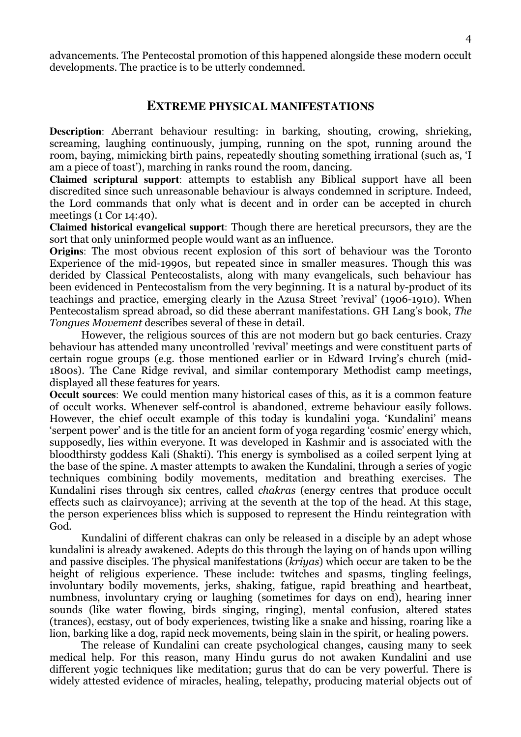advancements. The Pentecostal promotion of this happened alongside these modern occult developments. The practice is to be utterly condemned.

### **EXTREME PHYSICAL MANIFESTATIONS**

**Description**: Aberrant behaviour resulting: in barking, shouting, crowing, shrieking, screaming, laughing continuously, jumping, running on the spot, running around the room, baying, mimicking birth pains, repeatedly shouting something irrational (such as, 'I am a piece of toast'), marching in ranks round the room, dancing.

**Claimed scriptural support**: attempts to establish any Biblical support have all been discredited since such unreasonable behaviour is always condemned in scripture. Indeed, the Lord commands that only what is decent and in order can be accepted in church meetings (1 Cor 14:40).

**Claimed historical evangelical support**: Though there are heretical precursors, they are the sort that only uninformed people would want as an influence.

**Origins**: The most obvious recent explosion of this sort of behaviour was the Toronto Experience of the mid-1990s, but repeated since in smaller measures. Though this was derided by Classical Pentecostalists, along with many evangelicals, such behaviour has been evidenced in Pentecostalism from the very beginning. It is a natural by-product of its teachings and practice, emerging clearly in the Azusa Street 'revival' (1906-1910). When Pentecostalism spread abroad, so did these aberrant manifestations. GH Lang's book, The Tongues Movement describes several of these in detail.

 However, the religious sources of this are not modern but go back centuries. Crazy behaviour has attended many uncontrolled 'revival' meetings and were constituent parts of certain rogue groups (e.g. those mentioned earlier or in Edward Irving's church (mid-1800s). The Cane Ridge revival, and similar contemporary Methodist camp meetings, displayed all these features for years.

**Occult sources**: We could mention many historical cases of this, as it is a common feature of occult works. Whenever self-control is abandoned, extreme behaviour easily follows. However, the chief occult example of this today is kundalini yoga. 'Kundalini' means 'serpent power' and is the title for an ancient form of yoga regarding 'cosmic' energy which, supposedly, lies within everyone. It was developed in Kashmir and is associated with the bloodthirsty goddess Kali (Shakti). This energy is symbolised as a coiled serpent lying at the base of the spine. A master attempts to awaken the Kundalini, through a series of yogic techniques combining bodily movements, meditation and breathing exercises. The Kundalini rises through six centres, called chakras (energy centres that produce occult effects such as clairvoyance); arriving at the seventh at the top of the head. At this stage, the person experiences bliss which is supposed to represent the Hindu reintegration with God.

Kundalini of different chakras can only be released in a disciple by an adept whose kundalini is already awakened. Adepts do this through the laying on of hands upon willing and passive disciples. The physical manifestations (kriyas) which occur are taken to be the height of religious experience. These include: twitches and spasms, tingling feelings, involuntary bodily movements, jerks, shaking, fatigue, rapid breathing and heartbeat, numbness, involuntary crying or laughing (sometimes for days on end), hearing inner sounds (like water flowing, birds singing, ringing), mental confusion, altered states (trances), ecstasy, out of body experiences, twisting like a snake and hissing, roaring like a lion, barking like a dog, rapid neck movements, being slain in the spirit, or healing powers.

The release of Kundalini can create psychological changes, causing many to seek medical help. For this reason, many Hindu gurus do not awaken Kundalini and use different yogic techniques like meditation; gurus that do can be very powerful. There is widely attested evidence of miracles, healing, telepathy, producing material objects out of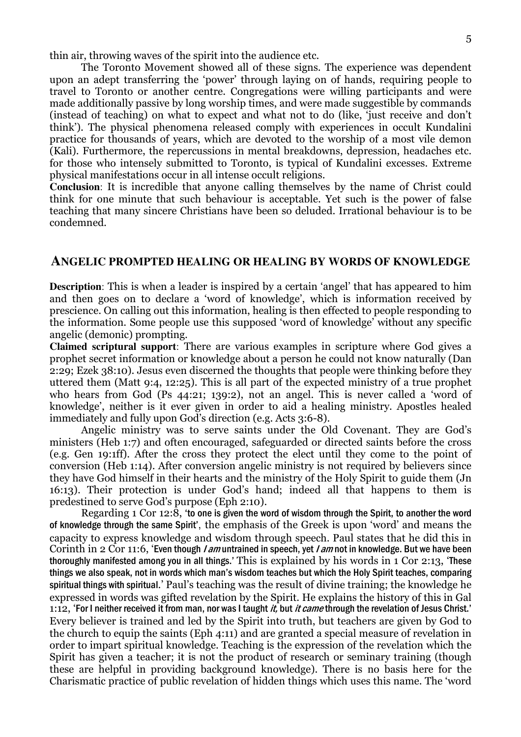thin air, throwing waves of the spirit into the audience etc.

The Toronto Movement showed all of these signs. The experience was dependent upon an adept transferring the 'power' through laying on of hands, requiring people to travel to Toronto or another centre. Congregations were willing participants and were made additionally passive by long worship times, and were made suggestible by commands (instead of teaching) on what to expect and what not to do (like, 'just receive and don't think'). The physical phenomena released comply with experiences in occult Kundalini practice for thousands of years, which are devoted to the worship of a most vile demon (Kali). Furthermore, the repercussions in mental breakdowns, depression, headaches etc. for those who intensely submitted to Toronto, is typical of Kundalini excesses. Extreme physical manifestations occur in all intense occult religions.

**Conclusion**: It is incredible that anyone calling themselves by the name of Christ could think for one minute that such behaviour is acceptable. Yet such is the power of false teaching that many sincere Christians have been so deluded. Irrational behaviour is to be condemned.

### **ANGELIC PROMPTED HEALING OR HEALING BY WORDS OF KNOWLEDGE**

**Description**: This is when a leader is inspired by a certain 'angel' that has appeared to him and then goes on to declare a 'word of knowledge', which is information received by prescience. On calling out this information, healing is then effected to people responding to the information. Some people use this supposed 'word of knowledge' without any specific angelic (demonic) prompting.

**Claimed scriptural support**: There are various examples in scripture where God gives a prophet secret information or knowledge about a person he could not know naturally (Dan 2:29; Ezek 38:10). Jesus even discerned the thoughts that people were thinking before they uttered them (Matt 9:4, 12:25). This is all part of the expected ministry of a true prophet who hears from God (Ps 44:21; 139:2), not an angel. This is never called a 'word of knowledge', neither is it ever given in order to aid a healing ministry. Apostles healed immediately and fully upon God's direction (e.g. Acts 3:6-8).

Angelic ministry was to serve saints under the Old Covenant. They are God's ministers (Heb 1:7) and often encouraged, safeguarded or directed saints before the cross (e.g. Gen 19:1ff). After the cross they protect the elect until they come to the point of conversion (Heb 1:14). After conversion angelic ministry is not required by believers since they have God himself in their hearts and the ministry of the Holy Spirit to guide them (Jn 16:13). Their protection is under God's hand; indeed all that happens to them is predestined to serve God's purpose (Eph 2:10).

Regarding 1 Cor 12:8, 'to one is given the word of wisdom through the Spirit, to another the word of knowledge through the same Spirit', the emphasis of the Greek is upon 'word' and means the capacity to express knowledge and wisdom through speech. Paul states that he did this in Corinth in 2 Cor 11:6, 'Even though *I am* untrained in speech, yet *I am* not in knowledge. But we have been thoroughly manifested among you in all things.' This is explained by his words in 1 Cor 2:13, 'These things we also speak, not in words which man's wisdom teaches but which the Holy Spirit teaches, comparing spiritual things with spiritual.' Paul's teaching was the result of divine training; the knowledge he expressed in words was gifted revelation by the Spirit. He explains the history of this in Gal 1:12, 'For I neither received it from man, nor was I taught *it*, but *it came* through the revelation of Jesus Christ.' Every believer is trained and led by the Spirit into truth, but teachers are given by God to the church to equip the saints (Eph 4:11) and are granted a special measure of revelation in order to impart spiritual knowledge. Teaching is the expression of the revelation which the Spirit has given a teacher; it is not the product of research or seminary training (though these are helpful in providing background knowledge). There is no basis here for the Charismatic practice of public revelation of hidden things which uses this name. The 'word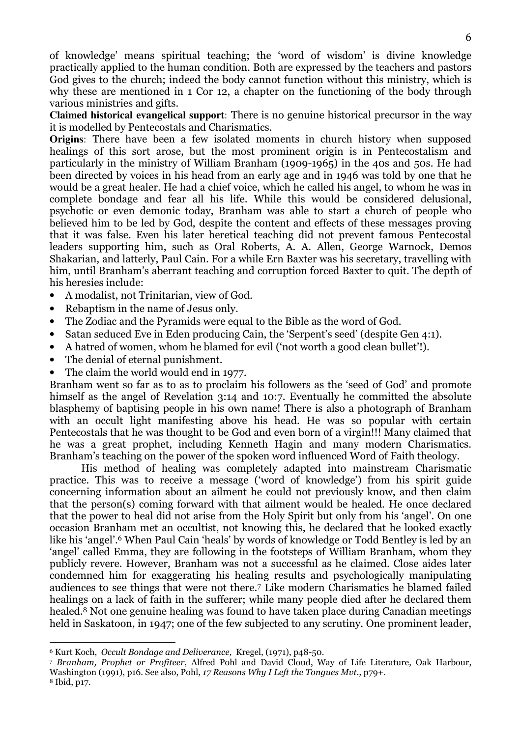of knowledge' means spiritual teaching; the 'word of wisdom' is divine knowledge practically applied to the human condition. Both are expressed by the teachers and pastors God gives to the church; indeed the body cannot function without this ministry, which is why these are mentioned in 1 Cor 12, a chapter on the functioning of the body through various ministries and gifts.

**Claimed historical evangelical support**: There is no genuine historical precursor in the way it is modelled by Pentecostals and Charismatics.

**Origins**: There have been a few isolated moments in church history when supposed healings of this sort arose, but the most prominent origin is in Pentecostalism and particularly in the ministry of William Branham (1909-1965) in the 40s and 50s. He had been directed by voices in his head from an early age and in 1946 was told by one that he would be a great healer. He had a chief voice, which he called his angel, to whom he was in complete bondage and fear all his life. While this would be considered delusional, psychotic or even demonic today, Branham was able to start a church of people who believed him to be led by God, despite the content and effects of these messages proving that it was false. Even his later heretical teaching did not prevent famous Pentecostal leaders supporting him, such as Oral Roberts, A. A. Allen, George Warnock, Demos Shakarian, and latterly, Paul Cain. For a while Ern Baxter was his secretary, travelling with him, until Branham's aberrant teaching and corruption forced Baxter to quit. The depth of his heresies include:

- A modalist, not Trinitarian, view of God.
- Rebaptism in the name of Jesus only.
- The Zodiac and the Pyramids were equal to the Bible as the word of God.
- Satan seduced Eve in Eden producing Cain, the 'Serpent's seed' (despite Gen 4:1).
- A hatred of women, whom he blamed for evil ('not worth a good clean bullet'!).
- The denial of eternal punishment.
- The claim the world would end in 1977.

Branham went so far as to as to proclaim his followers as the 'seed of God' and promote himself as the angel of Revelation 3:14 and 10:7. Eventually he committed the absolute blasphemy of baptising people in his own name! There is also a photograph of Branham with an occult light manifesting above his head. He was so popular with certain Pentecostals that he was thought to be God and even born of a virgin!!! Many claimed that he was a great prophet, including Kenneth Hagin and many modern Charismatics. Branham's teaching on the power of the spoken word influenced Word of Faith theology.

His method of healing was completely adapted into mainstream Charismatic practice. This was to receive a message ('word of knowledge') from his spirit guide concerning information about an ailment he could not previously know, and then claim that the person(s) coming forward with that ailment would be healed. He once declared that the power to heal did not arise from the Holy Spirit but only from his 'angel'. On one occasion Branham met an occultist, not knowing this, he declared that he looked exactly like his 'angel'.6 When Paul Cain 'heals' by words of knowledge or Todd Bentley is led by an 'angel' called Emma, they are following in the footsteps of William Branham, whom they publicly revere. However, Branham was not a successful as he claimed. Close aides later condemned him for exaggerating his healing results and psychologically manipulating audiences to see things that were not there.7 Like modern Charismatics he blamed failed healings on a lack of faith in the sufferer; while many people died after he declared them healed.8 Not one genuine healing was found to have taken place during Canadian meetings held in Saskatoon, in 1947; one of the few subjected to any scrutiny. One prominent leader,

<sup>6</sup> Kurt Koch, Occult Bondage and Deliverance, Kregel, (1971), p48-50.

<sup>7</sup> Branham, Prophet or Profiteer, Alfred Pohl and David Cloud, Way of Life Literature, Oak Harbour, Washington (1991), p16. See also, Pohl, 17 Reasons Why I Left the Tongues Mvt., p79+.

<sup>8</sup> Ibid, p17.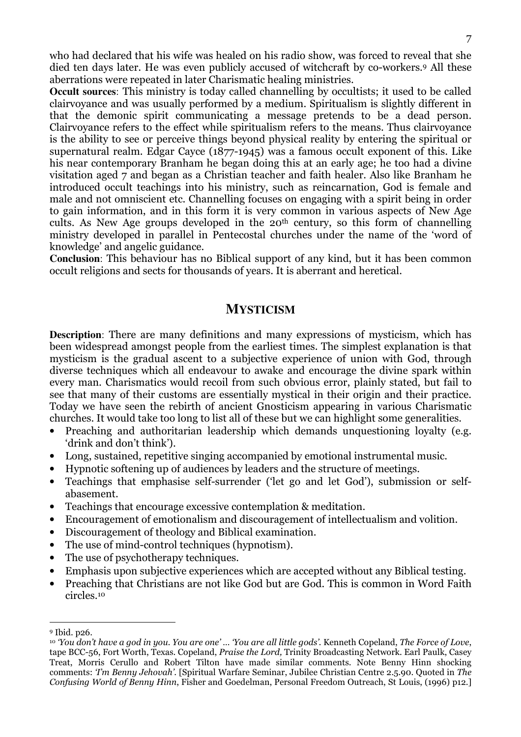who had declared that his wife was healed on his radio show, was forced to reveal that she died ten days later. He was even publicly accused of witchcraft by co-workers.<sup>9</sup> All these aberrations were repeated in later Charismatic healing ministries.

**Occult sources**: This ministry is today called channelling by occultists; it used to be called clairvoyance and was usually performed by a medium. Spiritualism is slightly different in that the demonic spirit communicating a message pretends to be a dead person. Clairvoyance refers to the effect while spiritualism refers to the means. Thus clairvoyance is the ability to see or perceive things beyond physical reality by entering the spiritual or supernatural realm. Edgar Cayce (1877-1945) was a famous occult exponent of this. Like his near contemporary Branham he began doing this at an early age; he too had a divine visitation aged 7 and began as a Christian teacher and faith healer. Also like Branham he introduced occult teachings into his ministry, such as reincarnation, God is female and male and not omniscient etc. Channelling focuses on engaging with a spirit being in order to gain information, and in this form it is very common in various aspects of New Age cults. As New Age groups developed in the 20th century, so this form of channelling ministry developed in parallel in Pentecostal churches under the name of the 'word of knowledge' and angelic guidance.

**Conclusion**: This behaviour has no Biblical support of any kind, but it has been common occult religions and sects for thousands of years. It is aberrant and heretical.

### **MYSTICISM**

**Description**: There are many definitions and many expressions of mysticism, which has been widespread amongst people from the earliest times. The simplest explanation is that mysticism is the gradual ascent to a subjective experience of union with God, through diverse techniques which all endeavour to awake and encourage the divine spark within every man. Charismatics would recoil from such obvious error, plainly stated, but fail to see that many of their customs are essentially mystical in their origin and their practice. Today we have seen the rebirth of ancient Gnosticism appearing in various Charismatic churches. It would take too long to list all of these but we can highlight some generalities.

- Preaching and authoritarian leadership which demands unquestioning loyalty (e.g. 'drink and don't think').
- Long, sustained, repetitive singing accompanied by emotional instrumental music.
- Hypnotic softening up of audiences by leaders and the structure of meetings.
- Teachings that emphasise self-surrender ('let go and let God'), submission or selfabasement.
- Teachings that encourage excessive contemplation & meditation.
- Encouragement of emotionalism and discouragement of intellectualism and volition.
- Discouragement of theology and Biblical examination.
- The use of mind-control techniques (hypnotism).
- The use of psychotherapy techniques.
- Emphasis upon subjective experiences which are accepted without any Biblical testing.
- Preaching that Christians are not like God but are God. This is common in Word Faith circles.<sup>10</sup>

<sup>9</sup> Ibid. p26.

<sup>10</sup> 'You don't have a god in you. You are one' … 'You are all little gods'. Kenneth Copeland, The Force of Love, tape BCC-56, Fort Worth, Texas. Copeland, Praise the Lord, Trinity Broadcasting Network. Earl Paulk, Casey Treat, Morris Cerullo and Robert Tilton have made similar comments. Note Benny Hinn shocking comments: 'I'm Benny Jehovah'. [Spiritual Warfare Seminar, Jubilee Christian Centre 2.5.90. Quoted in The Confusing World of Benny Hinn, Fisher and Goedelman, Personal Freedom Outreach, St Louis, (1996) p12.]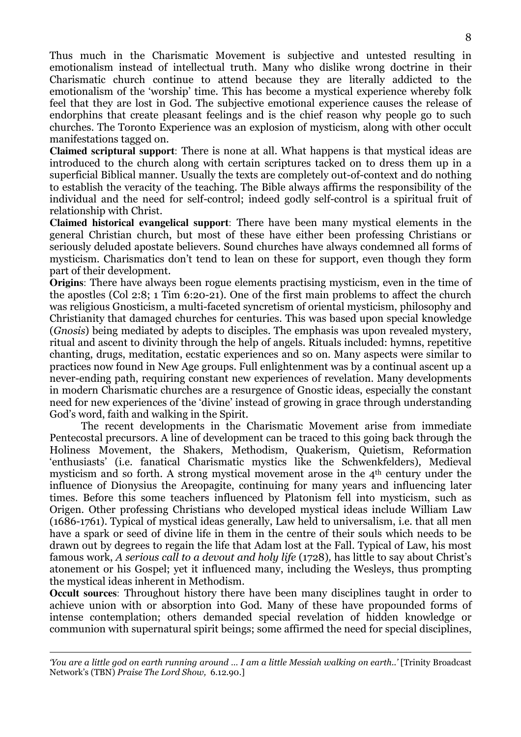Thus much in the Charismatic Movement is subjective and untested resulting in emotionalism instead of intellectual truth. Many who dislike wrong doctrine in their Charismatic church continue to attend because they are literally addicted to the emotionalism of the 'worship' time. This has become a mystical experience whereby folk feel that they are lost in God. The subjective emotional experience causes the release of endorphins that create pleasant feelings and is the chief reason why people go to such churches. The Toronto Experience was an explosion of mysticism, along with other occult manifestations tagged on.

**Claimed scriptural support**: There is none at all. What happens is that mystical ideas are introduced to the church along with certain scriptures tacked on to dress them up in a superficial Biblical manner. Usually the texts are completely out-of-context and do nothing to establish the veracity of the teaching. The Bible always affirms the responsibility of the individual and the need for self-control; indeed godly self-control is a spiritual fruit of relationship with Christ.

**Claimed historical evangelical support**: There have been many mystical elements in the general Christian church, but most of these have either been professing Christians or seriously deluded apostate believers. Sound churches have always condemned all forms of mysticism. Charismatics don't tend to lean on these for support, even though they form part of their development.

**Origins**: There have always been rogue elements practising mysticism, even in the time of the apostles (Col 2:8; 1 Tim 6:20-21). One of the first main problems to affect the church was religious Gnosticism, a multi-faceted syncretism of oriental mysticism, philosophy and Christianity that damaged churches for centuries. This was based upon special knowledge (Gnosis) being mediated by adepts to disciples. The emphasis was upon revealed mystery, ritual and ascent to divinity through the help of angels. Rituals included: hymns, repetitive chanting, drugs, meditation, ecstatic experiences and so on. Many aspects were similar to practices now found in New Age groups. Full enlightenment was by a continual ascent up a never-ending path, requiring constant new experiences of revelation. Many developments in modern Charismatic churches are a resurgence of Gnostic ideas, especially the constant need for new experiences of the 'divine' instead of growing in grace through understanding God's word, faith and walking in the Spirit.

The recent developments in the Charismatic Movement arise from immediate Pentecostal precursors. A line of development can be traced to this going back through the Holiness Movement, the Shakers, Methodism, Quakerism, Quietism, Reformation 'enthusiasts' (i.e. fanatical Charismatic mystics like the Schwenkfelders), Medieval mysticism and so forth. A strong mystical movement arose in the 4th century under the influence of Dionysius the Areopagite, continuing for many years and influencing later times. Before this some teachers influenced by Platonism fell into mysticism, such as Origen. Other professing Christians who developed mystical ideas include William Law (1686-1761). Typical of mystical ideas generally, Law held to universalism, i.e. that all men have a spark or seed of divine life in them in the centre of their souls which needs to be drawn out by degrees to regain the life that Adam lost at the Fall. Typical of Law, his most famous work, A serious call to a devout and holy life (1728), has little to say about Christ's atonement or his Gospel; yet it influenced many, including the Wesleys, thus prompting the mystical ideas inherent in Methodism.

**Occult sources**: Throughout history there have been many disciplines taught in order to achieve union with or absorption into God. Many of these have propounded forms of intense contemplation; others demanded special revelation of hidden knowledge or communion with supernatural spirit beings; some affirmed the need for special disciplines,

 $\overline{a}$ 'You are a little god on earth running around … I am a little Messiah walking on earth..' [Trinity Broadcast Network's (TBN) Praise The Lord Show, 6.12.90.]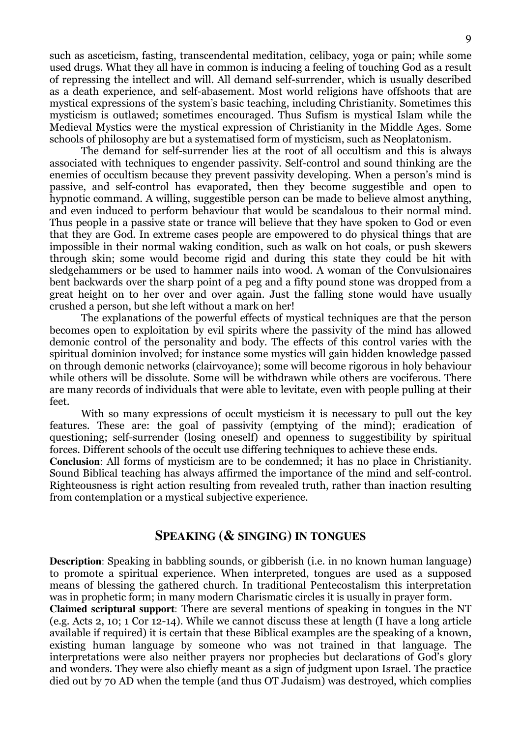such as asceticism, fasting, transcendental meditation, celibacy, yoga or pain; while some used drugs. What they all have in common is inducing a feeling of touching God as a result of repressing the intellect and will. All demand self-surrender, which is usually described as a death experience, and self-abasement. Most world religions have offshoots that are mystical expressions of the system's basic teaching, including Christianity. Sometimes this mysticism is outlawed; sometimes encouraged. Thus Sufism is mystical Islam while the Medieval Mystics were the mystical expression of Christianity in the Middle Ages. Some schools of philosophy are but a systematised form of mysticism, such as Neoplatonism.

 The demand for self-surrender lies at the root of all occultism and this is always associated with techniques to engender passivity. Self-control and sound thinking are the enemies of occultism because they prevent passivity developing. When a person's mind is passive, and self-control has evaporated, then they become suggestible and open to hypnotic command. A willing, suggestible person can be made to believe almost anything, and even induced to perform behaviour that would be scandalous to their normal mind. Thus people in a passive state or trance will believe that they have spoken to God or even that they are God. In extreme cases people are empowered to do physical things that are impossible in their normal waking condition, such as walk on hot coals, or push skewers through skin; some would become rigid and during this state they could be hit with sledgehammers or be used to hammer nails into wood. A woman of the Convulsionaires bent backwards over the sharp point of a peg and a fifty pound stone was dropped from a great height on to her over and over again. Just the falling stone would have usually crushed a person, but she left without a mark on her!

 The explanations of the powerful effects of mystical techniques are that the person becomes open to exploitation by evil spirits where the passivity of the mind has allowed demonic control of the personality and body. The effects of this control varies with the spiritual dominion involved; for instance some mystics will gain hidden knowledge passed on through demonic networks (clairvoyance); some will become rigorous in holy behaviour while others will be dissolute. Some will be withdrawn while others are vociferous. There are many records of individuals that were able to levitate, even with people pulling at their feet.

With so many expressions of occult mysticism it is necessary to pull out the key features. These are: the goal of passivity (emptying of the mind); eradication of questioning; self-surrender (losing oneself) and openness to suggestibility by spiritual forces. Different schools of the occult use differing techniques to achieve these ends.

**Conclusion**: All forms of mysticism are to be condemned; it has no place in Christianity. Sound Biblical teaching has always affirmed the importance of the mind and self-control. Righteousness is right action resulting from revealed truth, rather than inaction resulting from contemplation or a mystical subjective experience.

### **SPEAKING (& SINGING) IN TONGUES**

**Description**: Speaking in babbling sounds, or gibberish (i.e. in no known human language) to promote a spiritual experience. When interpreted, tongues are used as a supposed means of blessing the gathered church. In traditional Pentecostalism this interpretation was in prophetic form; in many modern Charismatic circles it is usually in prayer form.

**Claimed scriptural support**: There are several mentions of speaking in tongues in the NT (e.g. Acts 2, 10; 1 Cor 12-14). While we cannot discuss these at length (I have a long article available if required) it is certain that these Biblical examples are the speaking of a known, existing human language by someone who was not trained in that language. The interpretations were also neither prayers nor prophecies but declarations of God's glory and wonders. They were also chiefly meant as a sign of judgment upon Israel. The practice died out by 70 AD when the temple (and thus OT Judaism) was destroyed, which complies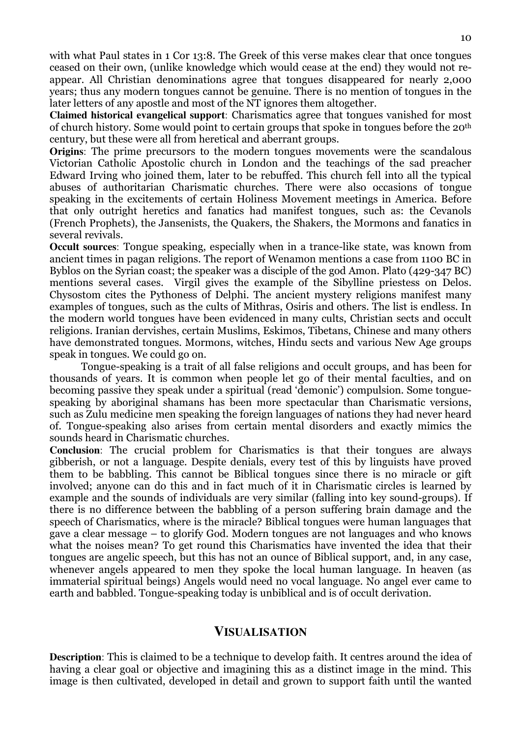with what Paul states in 1 Cor 13:8. The Greek of this verse makes clear that once tongues ceased on their own, (unlike knowledge which would cease at the end) they would not reappear. All Christian denominations agree that tongues disappeared for nearly 2,000 years; thus any modern tongues cannot be genuine. There is no mention of tongues in the later letters of any apostle and most of the NT ignores them altogether.

**Claimed historical evangelical support**: Charismatics agree that tongues vanished for most of church history. Some would point to certain groups that spoke in tongues before the 20th century, but these were all from heretical and aberrant groups.

**Origins**: The prime precursors to the modern tongues movements were the scandalous Victorian Catholic Apostolic church in London and the teachings of the sad preacher Edward Irving who joined them, later to be rebuffed. This church fell into all the typical abuses of authoritarian Charismatic churches. There were also occasions of tongue speaking in the excitements of certain Holiness Movement meetings in America. Before that only outright heretics and fanatics had manifest tongues, such as: the Cevanols (French Prophets), the Jansenists, the Quakers, the Shakers, the Mormons and fanatics in several revivals.

**Occult sources**: Tongue speaking, especially when in a trance-like state, was known from ancient times in pagan religions. The report of Wenamon mentions a case from 1100 BC in Byblos on the Syrian coast; the speaker was a disciple of the god Amon. Plato (429-347 BC) mentions several cases. Virgil gives the example of the Sibylline priestess on Delos. Chysostom cites the Pythoness of Delphi. The ancient mystery religions manifest many examples of tongues, such as the cults of Mithras, Osiris and others. The list is endless. In the modern world tongues have been evidenced in many cults, Christian sects and occult religions. Iranian dervishes, certain Muslims, Eskimos, Tibetans, Chinese and many others have demonstrated tongues. Mormons, witches, Hindu sects and various New Age groups speak in tongues. We could go on.

 Tongue-speaking is a trait of all false religions and occult groups, and has been for thousands of years. It is common when people let go of their mental faculties, and on becoming passive they speak under a spiritual (read 'demonic') compulsion. Some tonguespeaking by aboriginal shamans has been more spectacular than Charismatic versions, such as Zulu medicine men speaking the foreign languages of nations they had never heard of. Tongue-speaking also arises from certain mental disorders and exactly mimics the sounds heard in Charismatic churches.

**Conclusion**: The crucial problem for Charismatics is that their tongues are always gibberish, or not a language. Despite denials, every test of this by linguists have proved them to be babbling. This cannot be Biblical tongues since there is no miracle or gift involved; anyone can do this and in fact much of it in Charismatic circles is learned by example and the sounds of individuals are very similar (falling into key sound-groups). If there is no difference between the babbling of a person suffering brain damage and the speech of Charismatics, where is the miracle? Biblical tongues were human languages that gave a clear message – to glorify God. Modern tongues are not languages and who knows what the noises mean? To get round this Charismatics have invented the idea that their tongues are angelic speech, but this has not an ounce of Biblical support, and, in any case, whenever angels appeared to men they spoke the local human language. In heaven (as immaterial spiritual beings) Angels would need no vocal language. No angel ever came to earth and babbled. Tongue-speaking today is unbiblical and is of occult derivation.

## **VISUALISATION**

**Description**: This is claimed to be a technique to develop faith. It centres around the idea of having a clear goal or objective and imagining this as a distinct image in the mind. This image is then cultivated, developed in detail and grown to support faith until the wanted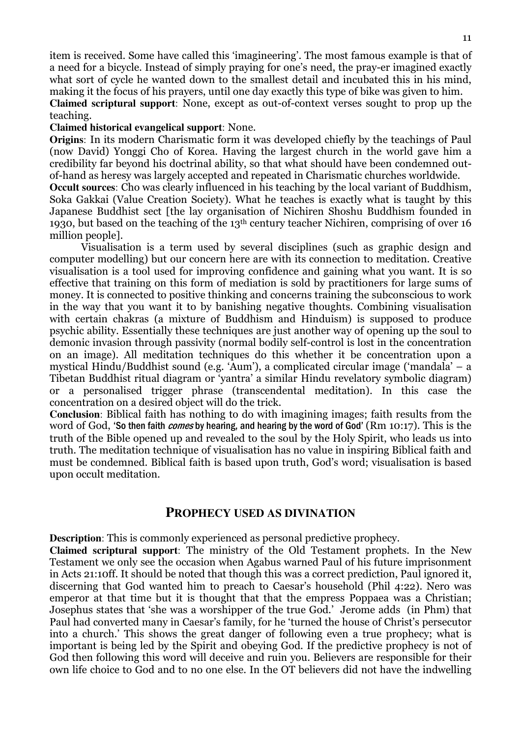item is received. Some have called this 'imagineering'. The most famous example is that of a need for a bicycle. Instead of simply praying for one's need, the pray-er imagined exactly what sort of cycle he wanted down to the smallest detail and incubated this in his mind, making it the focus of his prayers, until one day exactly this type of bike was given to him. **Claimed scriptural support**: None, except as out-of-context verses sought to prop up the teaching.

### **Claimed historical evangelical support**: None.

**Origins**: In its modern Charismatic form it was developed chiefly by the teachings of Paul (now David) Yonggi Cho of Korea. Having the largest church in the world gave him a credibility far beyond his doctrinal ability, so that what should have been condemned outof-hand as heresy was largely accepted and repeated in Charismatic churches worldwide.

**Occult sources**: Cho was clearly influenced in his teaching by the local variant of Buddhism, Soka Gakkai (Value Creation Society). What he teaches is exactly what is taught by this Japanese Buddhist sect [the lay organisation of Nichiren Shoshu Buddhism founded in 1930, but based on the teaching of the 13th century teacher Nichiren, comprising of over 16 million people].

Visualisation is a term used by several disciplines (such as graphic design and computer modelling) but our concern here are with its connection to meditation. Creative visualisation is a tool used for improving confidence and gaining what you want. It is so effective that training on this form of mediation is sold by practitioners for large sums of money. It is connected to positive thinking and concerns training the subconscious to work in the way that you want it to by banishing negative thoughts. Combining visualisation with certain chakras (a mixture of Buddhism and Hinduism) is supposed to produce psychic ability. Essentially these techniques are just another way of opening up the soul to demonic invasion through passivity (normal bodily self-control is lost in the concentration on an image). All meditation techniques do this whether it be concentration upon a mystical Hindu/Buddhist sound (e.g. 'Aum'), a complicated circular image ('mandala' – a Tibetan Buddhist ritual diagram or 'yantra' a similar Hindu revelatory symbolic diagram) or a personalised trigger phrase (transcendental meditation). In this case the concentration on a desired object will do the trick.

**Conclusion**: Biblical faith has nothing to do with imagining images; faith results from the word of God, 'So then faith *comes* by hearing, and hearing by the word of God' (Rm 10:17). This is the truth of the Bible opened up and revealed to the soul by the Holy Spirit, who leads us into truth. The meditation technique of visualisation has no value in inspiring Biblical faith and must be condemned. Biblical faith is based upon truth, God's word; visualisation is based upon occult meditation.

### **PROPHECY USED AS DIVINATION**

**Description**: This is commonly experienced as personal predictive prophecy.

**Claimed scriptural support**: The ministry of the Old Testament prophets. In the New Testament we only see the occasion when Agabus warned Paul of his future imprisonment in Acts 21:10ff. It should be noted that though this was a correct prediction, Paul ignored it, discerning that God wanted him to preach to Caesar's household (Phil 4:22). Nero was emperor at that time but it is thought that that the empress Poppaea was a Christian; Josephus states that 'she was a worshipper of the true God.' Jerome adds (in Phm) that Paul had converted many in Caesar's family, for he 'turned the house of Christ's persecutor into a church.' This shows the great danger of following even a true prophecy; what is important is being led by the Spirit and obeying God. If the predictive prophecy is not of God then following this word will deceive and ruin you. Believers are responsible for their own life choice to God and to no one else. In the OT believers did not have the indwelling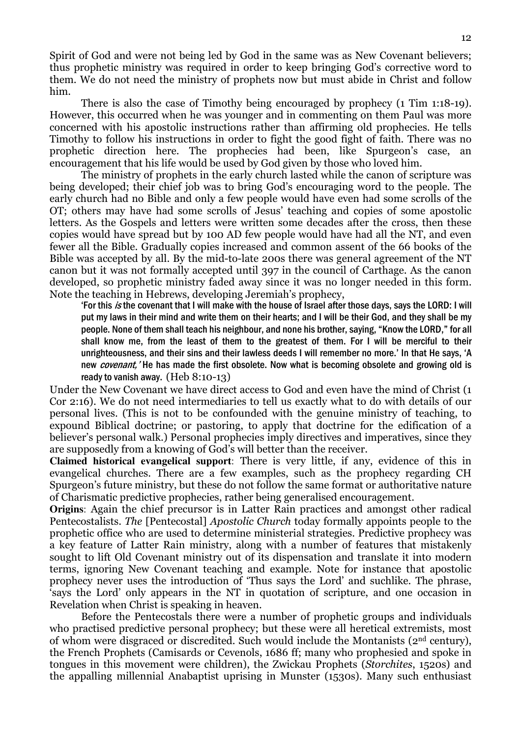Spirit of God and were not being led by God in the same was as New Covenant believers; thus prophetic ministry was required in order to keep bringing God's corrective word to them. We do not need the ministry of prophets now but must abide in Christ and follow him.

 There is also the case of Timothy being encouraged by prophecy (1 Tim 1:18-19). However, this occurred when he was younger and in commenting on them Paul was more concerned with his apostolic instructions rather than affirming old prophecies. He tells Timothy to follow his instructions in order to fight the good fight of faith. There was no prophetic direction here. The prophecies had been, like Spurgeon's case, an encouragement that his life would be used by God given by those who loved him.

The ministry of prophets in the early church lasted while the canon of scripture was being developed; their chief job was to bring God's encouraging word to the people. The early church had no Bible and only a few people would have even had some scrolls of the OT; others may have had some scrolls of Jesus' teaching and copies of some apostolic letters. As the Gospels and letters were written some decades after the cross, then these copies would have spread but by 100 AD few people would have had all the NT, and even fewer all the Bible. Gradually copies increased and common assent of the 66 books of the Bible was accepted by all. By the mid-to-late 200s there was general agreement of the NT canon but it was not formally accepted until 397 in the council of Carthage. As the canon developed, so prophetic ministry faded away since it was no longer needed in this form. Note the teaching in Hebrews, developing Jeremiah's prophecy,

'For this is the covenant that I will make with the house of Israel after those days, says the LORD: I will put my laws in their mind and write them on their hearts; and I will be their God, and they shall be my people. None of them shall teach his neighbour, and none his brother, saying, "Know the LORD," for all shall know me, from the least of them to the greatest of them. For I will be merciful to their unrighteousness, and their sins and their lawless deeds I will remember no more.' In that He says, 'A new *covenant*.' He has made the first obsolete. Now what is becoming obsolete and growing old is ready to vanish away. (Heb 8:10-13)

Under the New Covenant we have direct access to God and even have the mind of Christ (1 Cor 2:16). We do not need intermediaries to tell us exactly what to do with details of our personal lives. (This is not to be confounded with the genuine ministry of teaching, to expound Biblical doctrine; or pastoring, to apply that doctrine for the edification of a believer's personal walk.) Personal prophecies imply directives and imperatives, since they are supposedly from a knowing of God's will better than the receiver.

**Claimed historical evangelical support**: There is very little, if any, evidence of this in evangelical churches. There are a few examples, such as the prophecy regarding CH Spurgeon's future ministry, but these do not follow the same format or authoritative nature of Charismatic predictive prophecies, rather being generalised encouragement.

**Origins**: Again the chief precursor is in Latter Rain practices and amongst other radical Pentecostalists. The [Pentecostal] Apostolic Church today formally appoints people to the prophetic office who are used to determine ministerial strategies. Predictive prophecy was a key feature of Latter Rain ministry, along with a number of features that mistakenly sought to lift Old Covenant ministry out of its dispensation and translate it into modern terms, ignoring New Covenant teaching and example. Note for instance that apostolic prophecy never uses the introduction of 'Thus says the Lord' and suchlike. The phrase, 'says the Lord' only appears in the NT in quotation of scripture, and one occasion in Revelation when Christ is speaking in heaven.

Before the Pentecostals there were a number of prophetic groups and individuals who practised predictive personal prophecy; but these were all heretical extremists, most of whom were disgraced or discredited. Such would include the Montanists (2nd century), the French Prophets (Camisards or Cevenols, 1686 ff; many who prophesied and spoke in tongues in this movement were children), the Zwickau Prophets (Storchites, 1520s) and the appalling millennial Anabaptist uprising in Munster (1530s). Many such enthusiast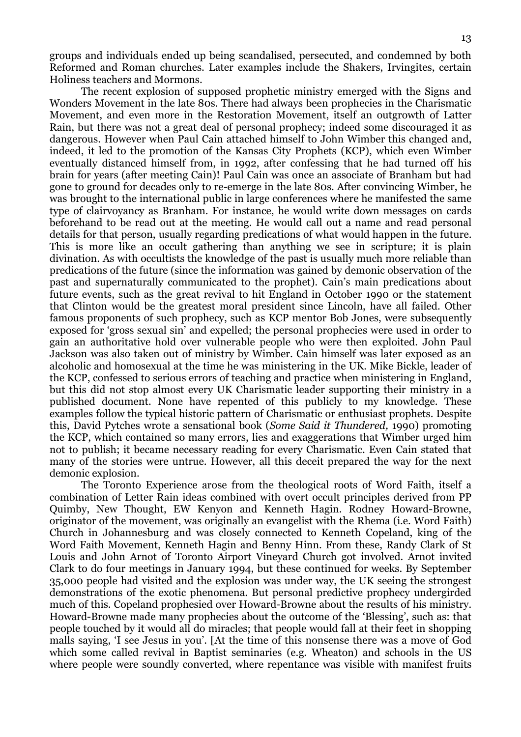groups and individuals ended up being scandalised, persecuted, and condemned by both Reformed and Roman churches. Later examples include the Shakers, Irvingites, certain Holiness teachers and Mormons.

 The recent explosion of supposed prophetic ministry emerged with the Signs and Wonders Movement in the late 80s. There had always been prophecies in the Charismatic Movement, and even more in the Restoration Movement, itself an outgrowth of Latter Rain, but there was not a great deal of personal prophecy; indeed some discouraged it as dangerous. However when Paul Cain attached himself to John Wimber this changed and, indeed, it led to the promotion of the Kansas City Prophets (KCP), which even Wimber eventually distanced himself from, in 1992, after confessing that he had turned off his brain for years (after meeting Cain)! Paul Cain was once an associate of Branham but had gone to ground for decades only to re-emerge in the late 80s. After convincing Wimber, he was brought to the international public in large conferences where he manifested the same type of clairvoyancy as Branham. For instance, he would write down messages on cards beforehand to be read out at the meeting. He would call out a name and read personal details for that person, usually regarding predications of what would happen in the future. This is more like an occult gathering than anything we see in scripture; it is plain divination. As with occultists the knowledge of the past is usually much more reliable than predications of the future (since the information was gained by demonic observation of the past and supernaturally communicated to the prophet). Cain's main predications about future events, such as the great revival to hit England in October 1990 or the statement that Clinton would be the greatest moral president since Lincoln, have all failed. Other famous proponents of such prophecy, such as KCP mentor Bob Jones, were subsequently exposed for 'gross sexual sin' and expelled; the personal prophecies were used in order to gain an authoritative hold over vulnerable people who were then exploited. John Paul Jackson was also taken out of ministry by Wimber. Cain himself was later exposed as an alcoholic and homosexual at the time he was ministering in the UK. Mike Bickle, leader of the KCP, confessed to serious errors of teaching and practice when ministering in England, but this did not stop almost every UK Charismatic leader supporting their ministry in a published document. None have repented of this publicly to my knowledge. These examples follow the typical historic pattern of Charismatic or enthusiast prophets. Despite this, David Pytches wrote a sensational book (Some Said it Thundered, 1990) promoting the KCP, which contained so many errors, lies and exaggerations that Wimber urged him not to publish; it became necessary reading for every Charismatic. Even Cain stated that many of the stories were untrue. However, all this deceit prepared the way for the next demonic explosion.

 The Toronto Experience arose from the theological roots of Word Faith, itself a combination of Letter Rain ideas combined with overt occult principles derived from PP Quimby, New Thought, EW Kenyon and Kenneth Hagin. Rodney Howard-Browne, originator of the movement, was originally an evangelist with the Rhema (i.e. Word Faith) Church in Johannesburg and was closely connected to Kenneth Copeland, king of the Word Faith Movement, Kenneth Hagin and Benny Hinn. From these, Randy Clark of St Louis and John Arnot of Toronto Airport Vineyard Church got involved. Arnot invited Clark to do four meetings in January 1994, but these continued for weeks. By September 35,000 people had visited and the explosion was under way, the UK seeing the strongest demonstrations of the exotic phenomena. But personal predictive prophecy undergirded much of this. Copeland prophesied over Howard-Browne about the results of his ministry. Howard-Browne made many prophecies about the outcome of the 'Blessing', such as: that people touched by it would all do miracles; that people would fall at their feet in shopping malls saying, 'I see Jesus in you'. [At the time of this nonsense there was a move of God which some called revival in Baptist seminaries (e.g. Wheaton) and schools in the US where people were soundly converted, where repentance was visible with manifest fruits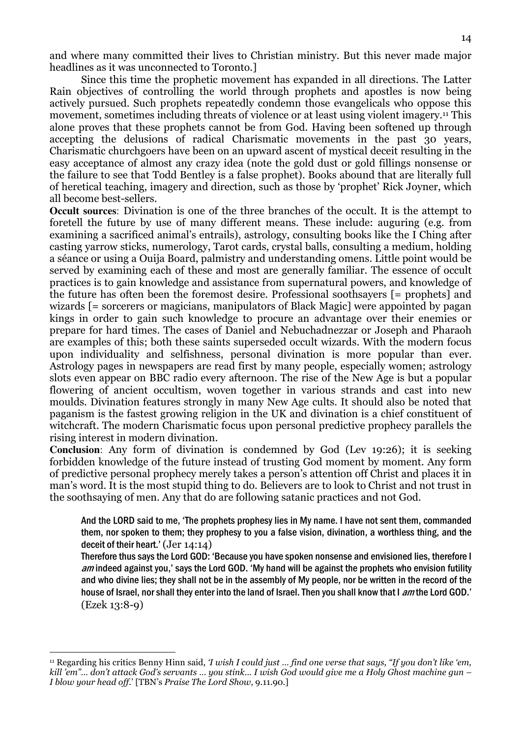and where many committed their lives to Christian ministry. But this never made major headlines as it was unconnected to Toronto.]

 Since this time the prophetic movement has expanded in all directions. The Latter Rain objectives of controlling the world through prophets and apostles is now being actively pursued. Such prophets repeatedly condemn those evangelicals who oppose this movement, sometimes including threats of violence or at least using violent imagery.11 This alone proves that these prophets cannot be from God. Having been softened up through accepting the delusions of radical Charismatic movements in the past 30 years, Charismatic churchgoers have been on an upward ascent of mystical deceit resulting in the easy acceptance of almost any crazy idea (note the gold dust or gold fillings nonsense or the failure to see that Todd Bentley is a false prophet). Books abound that are literally full of heretical teaching, imagery and direction, such as those by 'prophet' Rick Joyner, which all become best-sellers.

**Occult sources**: Divination is one of the three branches of the occult. It is the attempt to foretell the future by use of many different means. These include: auguring (e.g. from examining a sacrificed animal's entrails), astrology, consulting books like the I Ching after casting yarrow sticks, numerology, Tarot cards, crystal balls, consulting a medium, holding a séance or using a Ouija Board, palmistry and understanding omens. Little point would be served by examining each of these and most are generally familiar. The essence of occult practices is to gain knowledge and assistance from supernatural powers, and knowledge of the future has often been the foremost desire. Professional soothsayers [= prophets] and wizards [= sorcerers or magicians, manipulators of Black Magic] were appointed by pagan kings in order to gain such knowledge to procure an advantage over their enemies or prepare for hard times. The cases of Daniel and Nebuchadnezzar or Joseph and Pharaoh are examples of this; both these saints superseded occult wizards. With the modern focus upon individuality and selfishness, personal divination is more popular than ever. Astrology pages in newspapers are read first by many people, especially women; astrology slots even appear on BBC radio every afternoon. The rise of the New Age is but a popular flowering of ancient occultism, woven together in various strands and cast into new moulds. Divination features strongly in many New Age cults. It should also be noted that paganism is the fastest growing religion in the UK and divination is a chief constituent of witchcraft. The modern Charismatic focus upon personal predictive prophecy parallels the rising interest in modern divination.

**Conclusion**: Any form of divination is condemned by God (Lev 19:26); it is seeking forbidden knowledge of the future instead of trusting God moment by moment. Any form of predictive personal prophecy merely takes a person's attention off Christ and places it in man's word. It is the most stupid thing to do. Believers are to look to Christ and not trust in the soothsaying of men. Any that do are following satanic practices and not God.

And the LORD said to me, 'The prophets prophesy lies in My name. I have not sent them, commanded them, nor spoken to them; they prophesy to you a false vision, divination, a worthless thing, and the deceit of their heart.' (Jer 14:14)

Therefore thus says the Lord GOD: 'Because you have spoken nonsense and envisioned lies, therefore I am indeed against you,' says the Lord GOD. 'My hand will be against the prophets who envision futility and who divine lies; they shall not be in the assembly of My people, nor be written in the record of the house of Israel, nor shall they enter into the land of Israel. Then you shall know that I am the Lord GOD.' (Ezek 13:8-9)

<sup>&</sup>lt;sup>11</sup> Regarding his critics Benny Hinn said, 'I wish I could just ... find one verse that says, "If you don't like 'em, kill 'em"… don't attack God's servants … you stink… I wish God would give me a Holy Ghost machine gun – I blow your head off.' [TBN's Praise The Lord Show, 9.11.90.]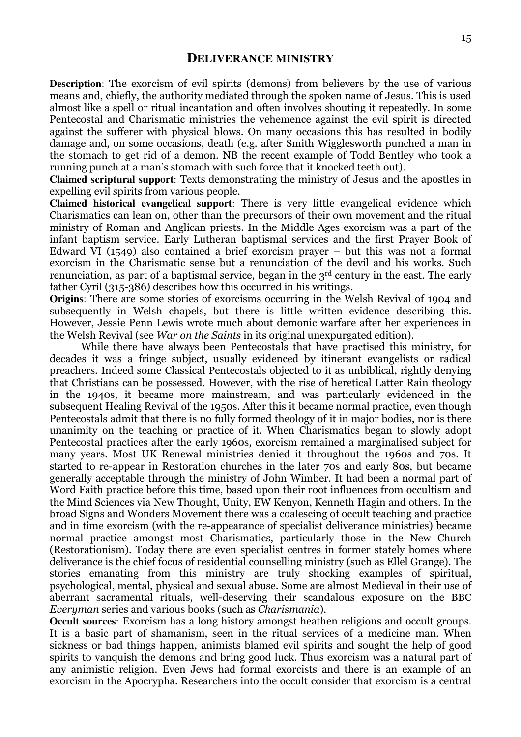**Description**: The exorcism of evil spirits (demons) from believers by the use of various means and, chiefly, the authority mediated through the spoken name of Jesus. This is used almost like a spell or ritual incantation and often involves shouting it repeatedly. In some Pentecostal and Charismatic ministries the vehemence against the evil spirit is directed against the sufferer with physical blows. On many occasions this has resulted in bodily damage and, on some occasions, death (e.g. after Smith Wigglesworth punched a man in the stomach to get rid of a demon. NB the recent example of Todd Bentley who took a running punch at a man's stomach with such force that it knocked teeth out).

**Claimed scriptural support**: Texts demonstrating the ministry of Jesus and the apostles in expelling evil spirits from various people.

**Claimed historical evangelical support**: There is very little evangelical evidence which Charismatics can lean on, other than the precursors of their own movement and the ritual ministry of Roman and Anglican priests. In the Middle Ages exorcism was a part of the infant baptism service. Early Lutheran baptismal services and the first Prayer Book of Edward VI (1549) also contained a brief exorcism prayer – but this was not a formal exorcism in the Charismatic sense but a renunciation of the devil and his works. Such renunciation, as part of a baptismal service, began in the 3rd century in the east. The early father Cyril (315-386) describes how this occurred in his writings.

**Origins**: There are some stories of exorcisms occurring in the Welsh Revival of 1904 and subsequently in Welsh chapels, but there is little written evidence describing this. However, Jessie Penn Lewis wrote much about demonic warfare after her experiences in the Welsh Revival (see War on the Saints in its original unexpurgated edition).

While there have always been Pentecostals that have practised this ministry, for decades it was a fringe subject, usually evidenced by itinerant evangelists or radical preachers. Indeed some Classical Pentecostals objected to it as unbiblical, rightly denying that Christians can be possessed. However, with the rise of heretical Latter Rain theology in the 1940s, it became more mainstream, and was particularly evidenced in the subsequent Healing Revival of the 1950s. After this it became normal practice, even though Pentecostals admit that there is no fully formed theology of it in major bodies, nor is there unanimity on the teaching or practice of it. When Charismatics began to slowly adopt Pentecostal practices after the early 1960s, exorcism remained a marginalised subject for many years. Most UK Renewal ministries denied it throughout the 1960s and 70s. It started to re-appear in Restoration churches in the later 70s and early 80s, but became generally acceptable through the ministry of John Wimber. It had been a normal part of Word Faith practice before this time, based upon their root influences from occultism and the Mind Sciences via New Thought, Unity, EW Kenyon, Kenneth Hagin and others. In the broad Signs and Wonders Movement there was a coalescing of occult teaching and practice and in time exorcism (with the re-appearance of specialist deliverance ministries) became normal practice amongst most Charismatics, particularly those in the New Church (Restorationism). Today there are even specialist centres in former stately homes where deliverance is the chief focus of residential counselling ministry (such as Ellel Grange). The stories emanating from this ministry are truly shocking examples of spiritual, psychological, mental, physical and sexual abuse. Some are almost Medieval in their use of aberrant sacramental rituals, well-deserving their scandalous exposure on the BBC Everyman series and various books (such as Charismania).

**Occult sources**: Exorcism has a long history amongst heathen religions and occult groups. It is a basic part of shamanism, seen in the ritual services of a medicine man. When sickness or bad things happen, animists blamed evil spirits and sought the help of good spirits to vanquish the demons and bring good luck. Thus exorcism was a natural part of any animistic religion. Even Jews had formal exorcists and there is an example of an exorcism in the Apocrypha. Researchers into the occult consider that exorcism is a central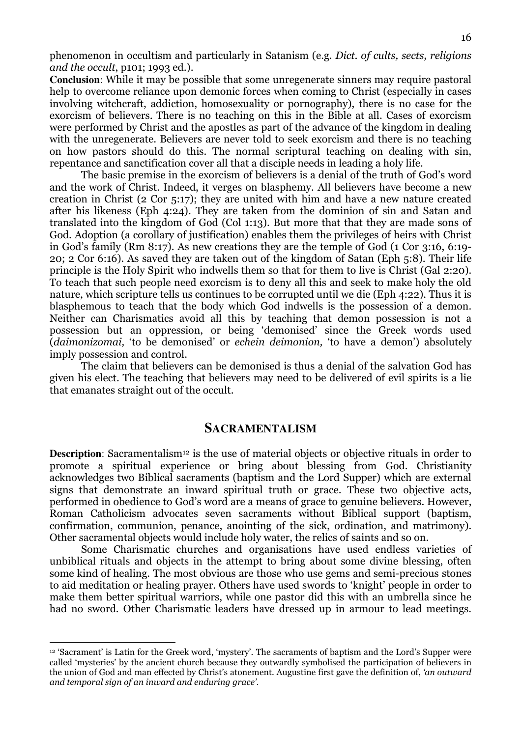phenomenon in occultism and particularly in Satanism (e.g. Dict. of cults, sects, religions and the occult, p101; 1993 ed.).

**Conclusion**: While it may be possible that some unregenerate sinners may require pastoral help to overcome reliance upon demonic forces when coming to Christ (especially in cases involving witchcraft, addiction, homosexuality or pornography), there is no case for the exorcism of believers. There is no teaching on this in the Bible at all. Cases of exorcism were performed by Christ and the apostles as part of the advance of the kingdom in dealing with the unregenerate. Believers are never told to seek exorcism and there is no teaching on how pastors should do this. The normal scriptural teaching on dealing with sin, repentance and sanctification cover all that a disciple needs in leading a holy life.

 The basic premise in the exorcism of believers is a denial of the truth of God's word and the work of Christ. Indeed, it verges on blasphemy. All believers have become a new creation in Christ (2 Cor 5:17); they are united with him and have a new nature created after his likeness (Eph 4:24). They are taken from the dominion of sin and Satan and translated into the kingdom of God (Col 1:13). But more that that they are made sons of God. Adoption (a corollary of justification) enables them the privileges of heirs with Christ in God's family (Rm 8:17). As new creations they are the temple of God (1 Cor 3:16, 6:19- 20; 2 Cor 6:16). As saved they are taken out of the kingdom of Satan (Eph 5:8). Their life principle is the Holy Spirit who indwells them so that for them to live is Christ (Gal 2:20). To teach that such people need exorcism is to deny all this and seek to make holy the old nature, which scripture tells us continues to be corrupted until we die (Eph 4:22). Thus it is blasphemous to teach that the body which God indwells is the possession of a demon. Neither can Charismatics avoid all this by teaching that demon possession is not a possession but an oppression, or being 'demonised' since the Greek words used (daimonizomai, 'to be demonised' or echein deimonion, 'to have a demon') absolutely imply possession and control.

 The claim that believers can be demonised is thus a denial of the salvation God has given his elect. The teaching that believers may need to be delivered of evil spirits is a lie that emanates straight out of the occult.

### **SACRAMENTALISM**

**Description**: Sacramentalism<sup>12</sup> is the use of material objects or objective rituals in order to promote a spiritual experience or bring about blessing from God. Christianity acknowledges two Biblical sacraments (baptism and the Lord Supper) which are external signs that demonstrate an inward spiritual truth or grace. These two objective acts, performed in obedience to God's word are a means of grace to genuine believers. However, Roman Catholicism advocates seven sacraments without Biblical support (baptism, confirmation, communion, penance, anointing of the sick, ordination, and matrimony). Other sacramental objects would include holy water, the relics of saints and so on.

 Some Charismatic churches and organisations have used endless varieties of unbiblical rituals and objects in the attempt to bring about some divine blessing, often some kind of healing. The most obvious are those who use gems and semi-precious stones to aid meditation or healing prayer. Others have used swords to 'knight' people in order to make them better spiritual warriors, while one pastor did this with an umbrella since he had no sword. Other Charismatic leaders have dressed up in armour to lead meetings.

<sup>12</sup> 'Sacrament' is Latin for the Greek word, 'mystery'. The sacraments of baptism and the Lord's Supper were called 'mysteries' by the ancient church because they outwardly symbolised the participation of believers in the union of God and man effected by Christ's atonement. Augustine first gave the definition of, 'an outward and temporal sign of an inward and enduring grace'.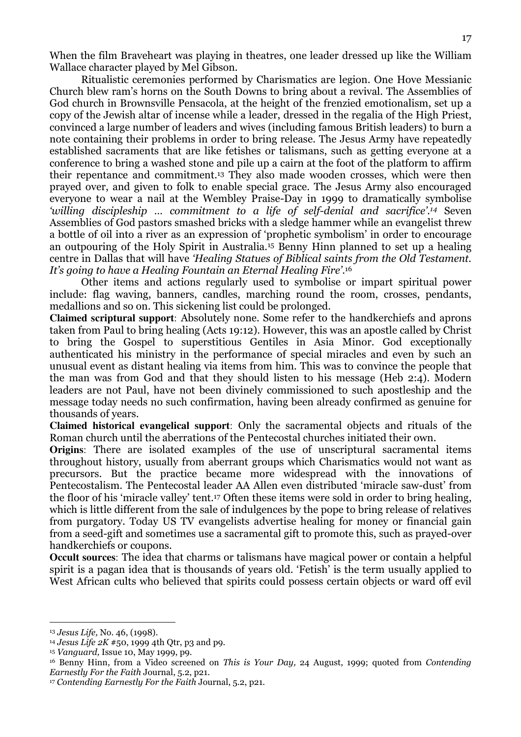When the film Braveheart was playing in theatres, one leader dressed up like the William Wallace character played by Mel Gibson.

 Ritualistic ceremonies performed by Charismatics are legion. One Hove Messianic Church blew ram's horns on the South Downs to bring about a revival. The Assemblies of God church in Brownsville Pensacola, at the height of the frenzied emotionalism, set up a copy of the Jewish altar of incense while a leader, dressed in the regalia of the High Priest, convinced a large number of leaders and wives (including famous British leaders) to burn a note containing their problems in order to bring release. The Jesus Army have repeatedly established sacraments that are like fetishes or talismans, such as getting everyone at a conference to bring a washed stone and pile up a cairn at the foot of the platform to affirm their repentance and commitment.13 They also made wooden crosses, which were then prayed over, and given to folk to enable special grace. The Jesus Army also encouraged everyone to wear a nail at the Wembley Praise-Day in 1999 to dramatically symbolise 'willing discipleship ... commitment to a life of self-denial and sacrifice'.<sup>14</sup> Seven Assemblies of God pastors smashed bricks with a sledge hammer while an evangelist threw a bottle of oil into a river as an expression of 'prophetic symbolism' in order to encourage an outpouring of the Holy Spirit in Australia.15 Benny Hinn planned to set up a healing centre in Dallas that will have 'Healing Statues of Biblical saints from the Old Testament. It's going to have a Healing Fountain an Eternal Healing Fire'. 16

 Other items and actions regularly used to symbolise or impart spiritual power include: flag waving, banners, candles, marching round the room, crosses, pendants, medallions and so on. This sickening list could be prolonged.

**Claimed scriptural support**: Absolutely none. Some refer to the handkerchiefs and aprons taken from Paul to bring healing (Acts 19:12). However, this was an apostle called by Christ to bring the Gospel to superstitious Gentiles in Asia Minor. God exceptionally authenticated his ministry in the performance of special miracles and even by such an unusual event as distant healing via items from him. This was to convince the people that the man was from God and that they should listen to his message (Heb 2:4). Modern leaders are not Paul, have not been divinely commissioned to such apostleship and the message today needs no such confirmation, having been already confirmed as genuine for thousands of years.

**Claimed historical evangelical support**: Only the sacramental objects and rituals of the Roman church until the aberrations of the Pentecostal churches initiated their own.

**Origins**: There are isolated examples of the use of unscriptural sacramental items throughout history, usually from aberrant groups which Charismatics would not want as precursors. But the practice became more widespread with the innovations of Pentecostalism. The Pentecostal leader AA Allen even distributed 'miracle saw-dust' from the floor of his 'miracle valley' tent.17 Often these items were sold in order to bring healing, which is little different from the sale of indulgences by the pope to bring release of relatives from purgatory. Today US TV evangelists advertise healing for money or financial gain from a seed-gift and sometimes use a sacramental gift to promote this, such as prayed-over handkerchiefs or coupons.

**Occult sources**: The idea that charms or talismans have magical power or contain a helpful spirit is a pagan idea that is thousands of years old. 'Fetish' is the term usually applied to West African cults who believed that spirits could possess certain objects or ward off evil

<sup>13</sup> Jesus Life, No. 46, (1998).

<sup>&</sup>lt;sup>14</sup> Jesus Life  $2K \# 50$ , 1999 4th Qtr, p3 and p9.

<sup>15</sup> Vanguard, Issue 10, May 1999, p9.

<sup>&</sup>lt;sup>16</sup> Benny Hinn, from a Video screened on This is Your Day, 24 August, 1999; quoted from Contending Earnestly For the Faith Journal, 5.2, p21.

<sup>17</sup> Contending Earnestly For the Faith Journal, 5.2, p21.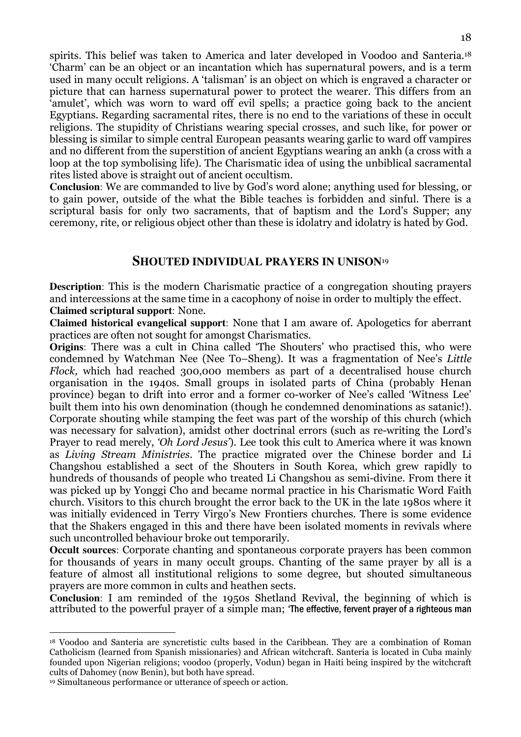spirits. This belief was taken to America and later developed in Voodoo and Santeria.<sup>18</sup> 'Charm' can be an object or an incantation which has supernatural powers, and is a term used in many occult religions. A 'talisman' is an object on which is engraved a character or picture that can harness supernatural power to protect the wearer. This differs from an 'amulet', which was worn to ward off evil spells; a practice going back to the ancient Egyptians. Regarding sacramental rites, there is no end to the variations of these in occult religions. The stupidity of Christians wearing special crosses, and such like, for power or blessing is similar to simple central European peasants wearing garlic to ward off vampires and no different from the superstition of ancient Egyptians wearing an ankh (a cross with a loop at the top symbolising life). The Charismatic idea of using the unbiblical sacramental rites listed above is straight out of ancient occultism.

**Conclusion**: We are commanded to live by God's word alone; anything used for blessing, or to gain power, outside of the what the Bible teaches is forbidden and sinful. There is a scriptural basis for only two sacraments, that of baptism and the Lord's Supper; any ceremony, rite, or religious object other than these is idolatry and idolatry is hated by God.

### **SHOUTED INDIVIDUAL PRAYERS IN UNISON**<sup>19</sup>

**Description**: This is the modern Charismatic practice of a congregation shouting prayers and intercessions at the same time in a cacophony of noise in order to multiply the effect. **Claimed scriptural support**: None.

**Claimed historical evangelical support**: None that I am aware of. Apologetics for aberrant practices are often not sought for amongst Charismatics.

**Origins**: There was a cult in China called 'The Shouters' who practised this, who were condemned by Watchman Nee (Nee To–Sheng). It was a fragmentation of Nee's Little Flock, which had reached 300,000 members as part of a decentralised house church organisation in the 1940s. Small groups in isolated parts of China (probably Henan province) began to drift into error and a former co-worker of Nee's called 'Witness Lee' built them into his own denomination (though he condemned denominations as satanic!). Corporate shouting while stamping the feet was part of the worship of this church (which was necessary for salvation), amidst other doctrinal errors (such as re-writing the Lord's Prayer to read merely, 'Oh Lord Jesus'). Lee took this cult to America where it was known as Living Stream Ministries. The practice migrated over the Chinese border and Li Changshou established a sect of the Shouters in South Korea, which grew rapidly to hundreds of thousands of people who treated Li Changshou as semi-divine. From there it was picked up by Yonggi Cho and became normal practice in his Charismatic Word Faith church. Visitors to this church brought the error back to the UK in the late 1980s where it was initially evidenced in Terry Virgo's New Frontiers churches. There is some evidence that the Shakers engaged in this and there have been isolated moments in revivals where such uncontrolled behaviour broke out temporarily.

**Occult sources**: Corporate chanting and spontaneous corporate prayers has been common for thousands of years in many occult groups. Chanting of the same prayer by all is a feature of almost all institutional religions to some degree, but shouted simultaneous prayers are more common in cults and heathen sects.

**Conclusion**: I am reminded of the 1950s Shetland Revival, the beginning of which is attributed to the powerful prayer of a simple man; 'The effective, fervent prayer of a righteous man

<sup>18</sup> Voodoo and Santeria are syncretistic cults based in the Caribbean. They are a combination of Roman Catholicism (learned from Spanish missionaries) and African witchcraft. Santeria is located in Cuba mainly founded upon Nigerian religions; voodoo (properly, Vodun) began in Haiti being inspired by the witchcraft cults of Dahomey (now Benin), but both have spread.

<sup>19</sup> Simultaneous performance or utterance of speech or action.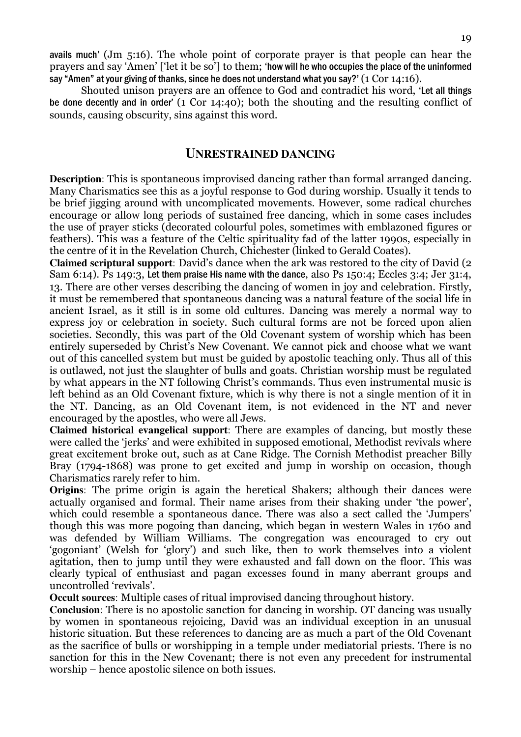avails much' (Jm 5:16). The whole point of corporate prayer is that people can hear the prayers and say 'Amen' ['let it be so'] to them; 'how will he who occupies the place of the uninformed say "Amen" at your giving of thanks, since he does not understand what you say?' (1 Cor 14:16).

 Shouted unison prayers are an offence to God and contradict his word, 'Let all things be done decently and in order' (1 Cor 14:40); both the shouting and the resulting conflict of sounds, causing obscurity, sins against this word.

### **UNRESTRAINED DANCING**

**Description**: This is spontaneous improvised dancing rather than formal arranged dancing. Many Charismatics see this as a joyful response to God during worship. Usually it tends to be brief jigging around with uncomplicated movements. However, some radical churches encourage or allow long periods of sustained free dancing, which in some cases includes the use of prayer sticks (decorated colourful poles, sometimes with emblazoned figures or feathers). This was a feature of the Celtic spirituality fad of the latter 1990s, especially in the centre of it in the Revelation Church, Chichester (linked to Gerald Coates).

**Claimed scriptural support**: David's dance when the ark was restored to the city of David (2 Sam 6:14). Ps 149:3, Let them praise His name with the dance, also Ps 150:4; Eccles 3:4; Jer 31:4, 13. There are other verses describing the dancing of women in joy and celebration. Firstly, it must be remembered that spontaneous dancing was a natural feature of the social life in ancient Israel, as it still is in some old cultures. Dancing was merely a normal way to express joy or celebration in society. Such cultural forms are not be forced upon alien societies. Secondly, this was part of the Old Covenant system of worship which has been entirely superseded by Christ's New Covenant. We cannot pick and choose what we want out of this cancelled system but must be guided by apostolic teaching only. Thus all of this is outlawed, not just the slaughter of bulls and goats. Christian worship must be regulated by what appears in the NT following Christ's commands. Thus even instrumental music is left behind as an Old Covenant fixture, which is why there is not a single mention of it in the NT. Dancing, as an Old Covenant item, is not evidenced in the NT and never encouraged by the apostles, who were all Jews.

**Claimed historical evangelical support**: There are examples of dancing, but mostly these were called the 'jerks' and were exhibited in supposed emotional, Methodist revivals where great excitement broke out, such as at Cane Ridge. The Cornish Methodist preacher Billy Bray (1794-1868) was prone to get excited and jump in worship on occasion, though Charismatics rarely refer to him.

**Origins**: The prime origin is again the heretical Shakers; although their dances were actually organised and formal. Their name arises from their shaking under 'the power', which could resemble a spontaneous dance. There was also a sect called the 'Jumpers' though this was more pogoing than dancing, which began in western Wales in 1760 and was defended by William Williams. The congregation was encouraged to cry out 'gogoniant' (Welsh for 'glory') and such like, then to work themselves into a violent agitation, then to jump until they were exhausted and fall down on the floor. This was clearly typical of enthusiast and pagan excesses found in many aberrant groups and uncontrolled 'revivals'.

**Occult sources**: Multiple cases of ritual improvised dancing throughout history.

**Conclusion**: There is no apostolic sanction for dancing in worship. OT dancing was usually by women in spontaneous rejoicing, David was an individual exception in an unusual historic situation. But these references to dancing are as much a part of the Old Covenant as the sacrifice of bulls or worshipping in a temple under mediatorial priests. There is no sanction for this in the New Covenant; there is not even any precedent for instrumental worship – hence apostolic silence on both issues.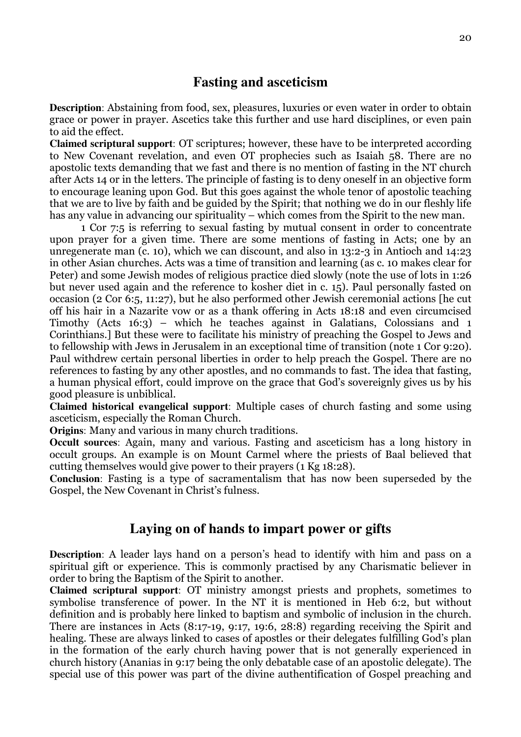# **Fasting and asceticism**

**Description**: Abstaining from food, sex, pleasures, luxuries or even water in order to obtain grace or power in prayer. Ascetics take this further and use hard disciplines, or even pain to aid the effect.

**Claimed scriptural support**: OT scriptures; however, these have to be interpreted according to New Covenant revelation, and even OT prophecies such as Isaiah 58. There are no apostolic texts demanding that we fast and there is no mention of fasting in the NT church after Acts 14 or in the letters. The principle of fasting is to deny oneself in an objective form to encourage leaning upon God. But this goes against the whole tenor of apostolic teaching that we are to live by faith and be guided by the Spirit; that nothing we do in our fleshly life has any value in advancing our spirituality – which comes from the Spirit to the new man.

1 Cor 7:5 is referring to sexual fasting by mutual consent in order to concentrate upon prayer for a given time. There are some mentions of fasting in Acts; one by an unregenerate man (c. 10), which we can discount, and also in 13:2-3 in Antioch and 14:23 in other Asian churches. Acts was a time of transition and learning (as c. 10 makes clear for Peter) and some Jewish modes of religious practice died slowly (note the use of lots in 1:26 but never used again and the reference to kosher diet in c. 15). Paul personally fasted on occasion (2 Cor 6:5, 11:27), but he also performed other Jewish ceremonial actions [he cut off his hair in a Nazarite vow or as a thank offering in Acts 18:18 and even circumcised Timothy (Acts 16:3) – which he teaches against in Galatians, Colossians and 1 Corinthians.] But these were to facilitate his ministry of preaching the Gospel to Jews and to fellowship with Jews in Jerusalem in an exceptional time of transition (note 1 Cor 9:20). Paul withdrew certain personal liberties in order to help preach the Gospel. There are no references to fasting by any other apostles, and no commands to fast. The idea that fasting, a human physical effort, could improve on the grace that God's sovereignly gives us by his good pleasure is unbiblical.

**Claimed historical evangelical support**: Multiple cases of church fasting and some using asceticism, especially the Roman Church.

**Origins**: Many and various in many church traditions.

**Occult sources**: Again, many and various. Fasting and asceticism has a long history in occult groups. An example is on Mount Carmel where the priests of Baal believed that cutting themselves would give power to their prayers (1 Kg 18:28).

**Conclusion**: Fasting is a type of sacramentalism that has now been superseded by the Gospel, the New Covenant in Christ's fulness.

## **Laying on of hands to impart power or gifts**

**Description**: A leader lays hand on a person's head to identify with him and pass on a spiritual gift or experience. This is commonly practised by any Charismatic believer in order to bring the Baptism of the Spirit to another.

**Claimed scriptural support**: OT ministry amongst priests and prophets, sometimes to symbolise transference of power. In the NT it is mentioned in Heb 6:2, but without definition and is probably here linked to baptism and symbolic of inclusion in the church. There are instances in Acts (8:17-19, 9:17, 19:6, 28:8) regarding receiving the Spirit and healing. These are always linked to cases of apostles or their delegates fulfilling God's plan in the formation of the early church having power that is not generally experienced in church history (Ananias in 9:17 being the only debatable case of an apostolic delegate). The special use of this power was part of the divine authentification of Gospel preaching and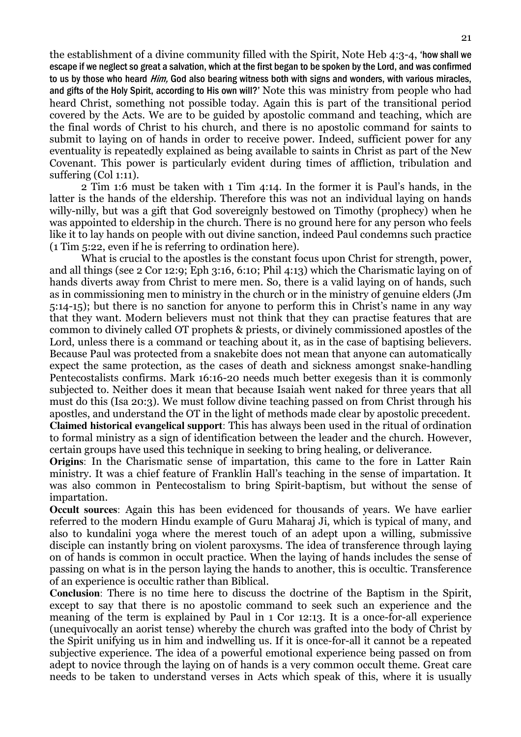the establishment of a divine community filled with the Spirit, Note Heb 4:3-4, 'how shall we escape if we neglect so great a salvation, which at the first began to be spoken by the Lord, and was confirmed to us by those who heard *Him*, God also bearing witness both with signs and wonders, with various miracles, and gifts of the Holy Spirit, according to His own will?' Note this was ministry from people who had heard Christ, something not possible today. Again this is part of the transitional period covered by the Acts. We are to be guided by apostolic command and teaching, which are the final words of Christ to his church, and there is no apostolic command for saints to submit to laying on of hands in order to receive power. Indeed, sufficient power for any eventuality is repeatedly explained as being available to saints in Christ as part of the New Covenant. This power is particularly evident during times of affliction, tribulation and suffering (Col 1:11).

2 Tim 1:6 must be taken with 1 Tim 4:14. In the former it is Paul's hands, in the latter is the hands of the eldership. Therefore this was not an individual laying on hands willy-nilly, but was a gift that God sovereignly bestowed on Timothy (prophecy) when he was appointed to eldership in the church. There is no ground here for any person who feels like it to lay hands on people with out divine sanction, indeed Paul condemns such practice (1 Tim 5:22, even if he is referring to ordination here).

What is crucial to the apostles is the constant focus upon Christ for strength, power, and all things (see 2 Cor 12:9; Eph 3:16, 6:10; Phil 4:13) which the Charismatic laying on of hands diverts away from Christ to mere men. So, there is a valid laying on of hands, such as in commissioning men to ministry in the church or in the ministry of genuine elders (Jm 5:14-15); but there is no sanction for anyone to perform this in Christ's name in any way that they want. Modern believers must not think that they can practise features that are common to divinely called OT prophets & priests, or divinely commissioned apostles of the Lord, unless there is a command or teaching about it, as in the case of baptising believers. Because Paul was protected from a snakebite does not mean that anyone can automatically expect the same protection, as the cases of death and sickness amongst snake-handling Pentecostalists confirms. Mark 16:16-20 needs much better exegesis than it is commonly subjected to. Neither does it mean that because Isaiah went naked for three years that all must do this (Isa 20:3). We must follow divine teaching passed on from Christ through his apostles, and understand the OT in the light of methods made clear by apostolic precedent. **Claimed historical evangelical support**: This has always been used in the ritual of ordination to formal ministry as a sign of identification between the leader and the church. However, certain groups have used this technique in seeking to bring healing, or deliverance.

**Origins**: In the Charismatic sense of impartation, this came to the fore in Latter Rain ministry. It was a chief feature of Franklin Hall's teaching in the sense of impartation. It was also common in Pentecostalism to bring Spirit-baptism, but without the sense of impartation.

**Occult sources**: Again this has been evidenced for thousands of years. We have earlier referred to the modern Hindu example of Guru Maharaj Ji, which is typical of many, and also to kundalini yoga where the merest touch of an adept upon a willing, submissive disciple can instantly bring on violent paroxysms. The idea of transference through laying on of hands is common in occult practice. When the laying of hands includes the sense of passing on what is in the person laying the hands to another, this is occultic. Transference of an experience is occultic rather than Biblical.

**Conclusion**: There is no time here to discuss the doctrine of the Baptism in the Spirit, except to say that there is no apostolic command to seek such an experience and the meaning of the term is explained by Paul in 1 Cor 12:13. It is a once-for-all experience (unequivocally an aorist tense) whereby the church was grafted into the body of Christ by the Spirit unifying us in him and indwelling us. If it is once-for-all it cannot be a repeated subjective experience. The idea of a powerful emotional experience being passed on from adept to novice through the laying on of hands is a very common occult theme. Great care needs to be taken to understand verses in Acts which speak of this, where it is usually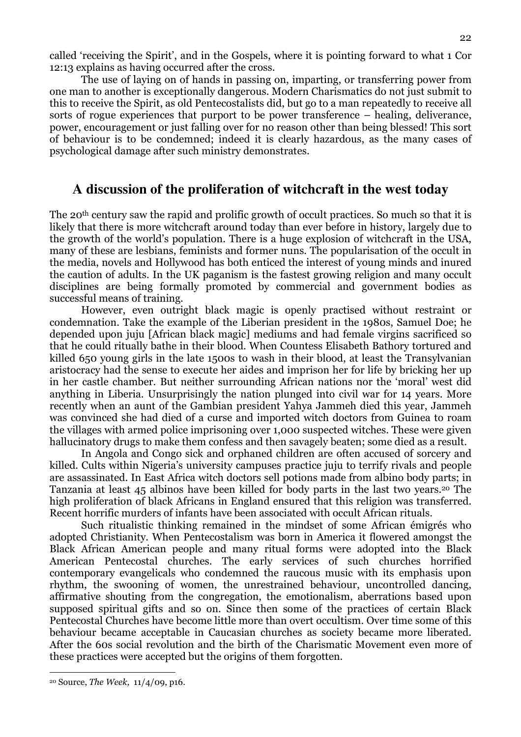called 'receiving the Spirit', and in the Gospels, where it is pointing forward to what 1 Cor 12:13 explains as having occurred after the cross.

The use of laying on of hands in passing on, imparting, or transferring power from one man to another is exceptionally dangerous. Modern Charismatics do not just submit to this to receive the Spirit, as old Pentecostalists did, but go to a man repeatedly to receive all sorts of rogue experiences that purport to be power transference – healing, deliverance, power, encouragement or just falling over for no reason other than being blessed! This sort of behaviour is to be condemned; indeed it is clearly hazardous, as the many cases of psychological damage after such ministry demonstrates.

# **A discussion of the proliferation of witchcraft in the west today**

The 20<sup>th</sup> century saw the rapid and prolific growth of occult practices. So much so that it is likely that there is more witchcraft around today than ever before in history, largely due to the growth of the world's population. There is a huge explosion of witchcraft in the USA, many of these are lesbians, feminists and former nuns. The popularisation of the occult in the media, novels and Hollywood has both enticed the interest of young minds and inured the caution of adults. In the UK paganism is the fastest growing religion and many occult disciplines are being formally promoted by commercial and government bodies as successful means of training.

However, even outright black magic is openly practised without restraint or condemnation. Take the example of the Liberian president in the 1980s, Samuel Doe; he depended upon juju [African black magic] mediums and had female virgins sacrificed so that he could ritually bathe in their blood. When Countess Elisabeth Bathory tortured and killed 650 young girls in the late 1500s to wash in their blood, at least the Transylvanian aristocracy had the sense to execute her aides and imprison her for life by bricking her up in her castle chamber. But neither surrounding African nations nor the 'moral' west did anything in Liberia. Unsurprisingly the nation plunged into civil war for 14 years. More recently when an aunt of the Gambian president Yahya Jammeh died this year, Jammeh was convinced she had died of a curse and imported witch doctors from Guinea to roam the villages with armed police imprisoning over 1,000 suspected witches. These were given hallucinatory drugs to make them confess and then savagely beaten; some died as a result.

 In Angola and Congo sick and orphaned children are often accused of sorcery and killed. Cults within Nigeria's university campuses practice juju to terrify rivals and people are assassinated. In East Africa witch doctors sell potions made from albino body parts; in Tanzania at least 45 albinos have been killed for body parts in the last two years.20 The high proliferation of black Africans in England ensured that this religion was transferred. Recent horrific murders of infants have been associated with occult African rituals.

Such ritualistic thinking remained in the mindset of some African émigrés who adopted Christianity. When Pentecostalism was born in America it flowered amongst the Black African American people and many ritual forms were adopted into the Black American Pentecostal churches. The early services of such churches horrified contemporary evangelicals who condemned the raucous music with its emphasis upon rhythm, the swooning of women, the unrestrained behaviour, uncontrolled dancing, affirmative shouting from the congregation, the emotionalism, aberrations based upon supposed spiritual gifts and so on. Since then some of the practices of certain Black Pentecostal Churches have become little more than overt occultism. Over time some of this behaviour became acceptable in Caucasian churches as society became more liberated. After the 60s social revolution and the birth of the Charismatic Movement even more of these practices were accepted but the origins of them forgotten.

I

<sup>22</sup> 

<sup>20</sup> Source, The Week, 11/4/09, p16.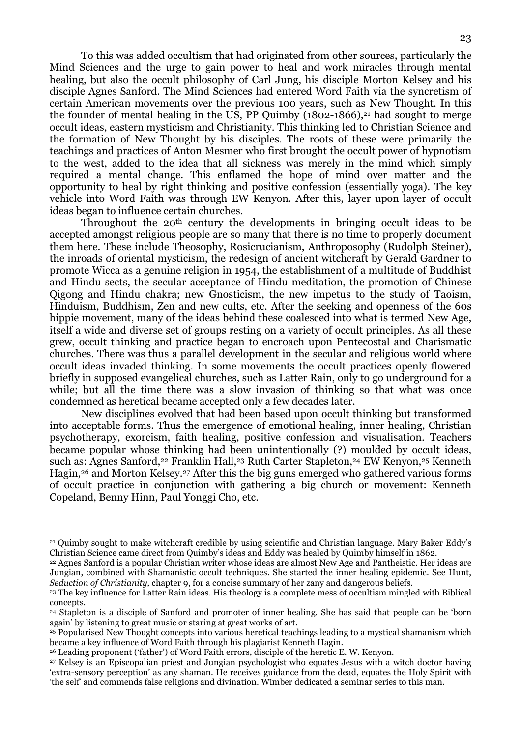To this was added occultism that had originated from other sources, particularly the Mind Sciences and the urge to gain power to heal and work miracles through mental healing, but also the occult philosophy of Carl Jung, his disciple Morton Kelsey and his disciple Agnes Sanford. The Mind Sciences had entered Word Faith via the syncretism of certain American movements over the previous 100 years, such as New Thought. In this the founder of mental healing in the US, PP Quimby  $(1802-1866)$ ,<sup>21</sup> had sought to merge occult ideas, eastern mysticism and Christianity. This thinking led to Christian Science and the formation of New Thought by his disciples. The roots of these were primarily the teachings and practices of Anton Mesmer who first brought the occult power of hypnotism to the west, added to the idea that all sickness was merely in the mind which simply required a mental change. This enflamed the hope of mind over matter and the opportunity to heal by right thinking and positive confession (essentially yoga). The key vehicle into Word Faith was through EW Kenyon. After this, layer upon layer of occult ideas began to influence certain churches.

Throughout the 20th century the developments in bringing occult ideas to be accepted amongst religious people are so many that there is no time to properly document them here. These include Theosophy, Rosicrucianism, Anthroposophy (Rudolph Steiner), the inroads of oriental mysticism, the redesign of ancient witchcraft by Gerald Gardner to promote Wicca as a genuine religion in 1954, the establishment of a multitude of Buddhist and Hindu sects, the secular acceptance of Hindu meditation, the promotion of Chinese Qigong and Hindu chakra; new Gnosticism, the new impetus to the study of Taoism, Hinduism, Buddhism, Zen and new cults, etc. After the seeking and openness of the 60s hippie movement, many of the ideas behind these coalesced into what is termed New Age, itself a wide and diverse set of groups resting on a variety of occult principles. As all these grew, occult thinking and practice began to encroach upon Pentecostal and Charismatic churches. There was thus a parallel development in the secular and religious world where occult ideas invaded thinking. In some movements the occult practices openly flowered briefly in supposed evangelical churches, such as Latter Rain, only to go underground for a while; but all the time there was a slow invasion of thinking so that what was once condemned as heretical became accepted only a few decades later.

New disciplines evolved that had been based upon occult thinking but transformed into acceptable forms. Thus the emergence of emotional healing, inner healing, Christian psychotherapy, exorcism, faith healing, positive confession and visualisation. Teachers became popular whose thinking had been unintentionally (?) moulded by occult ideas, such as: Agnes Sanford,<sup>22</sup> Franklin Hall,<sup>23</sup> Ruth Carter Stapleton,<sup>24</sup> EW Kenyon,<sup>25</sup> Kenneth Hagin,26 and Morton Kelsey.27 After this the big guns emerged who gathered various forms of occult practice in conjunction with gathering a big church or movement: Kenneth Copeland, Benny Hinn, Paul Yonggi Cho, etc.

<sup>21</sup> Quimby sought to make witchcraft credible by using scientific and Christian language. Mary Baker Eddy's Christian Science came direct from Quimby's ideas and Eddy was healed by Quimby himself in 1862.

<sup>22</sup> Agnes Sanford is a popular Christian writer whose ideas are almost New Age and Pantheistic. Her ideas are Jungian, combined with Shamanistic occult techniques. She started the inner healing epidemic. See Hunt, Seduction of Christianity, chapter 9, for a concise summary of her zany and dangerous beliefs.

<sup>23</sup> The key influence for Latter Rain ideas. His theology is a complete mess of occultism mingled with Biblical concepts.

<sup>24</sup> Stapleton is a disciple of Sanford and promoter of inner healing. She has said that people can be 'born again' by listening to great music or staring at great works of art.

<sup>&</sup>lt;sup>25</sup> Popularised New Thought concepts into various heretical teachings leading to a mystical shamanism which became a key influence of Word Faith through his plagiarist Kenneth Hagin.

<sup>26</sup> Leading proponent ('father') of Word Faith errors, disciple of the heretic E. W. Kenyon.

<sup>27</sup> Kelsey is an Episcopalian priest and Jungian psychologist who equates Jesus with a witch doctor having 'extra-sensory perception' as any shaman. He receives guidance from the dead, equates the Holy Spirit with 'the self' and commends false religions and divination. Wimber dedicated a seminar series to this man.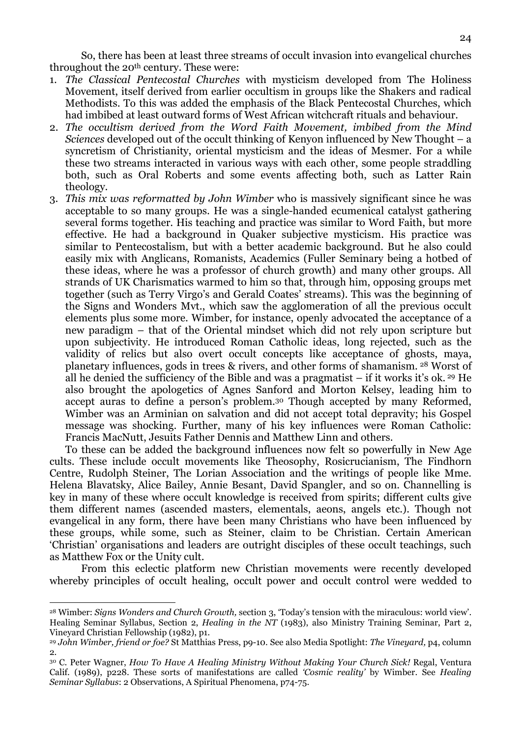So, there has been at least three streams of occult invasion into evangelical churches throughout the 20<sup>th</sup> century. These were:

- 1. The Classical Pentecostal Churches with mysticism developed from The Holiness Movement, itself derived from earlier occultism in groups like the Shakers and radical Methodists. To this was added the emphasis of the Black Pentecostal Churches, which had imbibed at least outward forms of West African witchcraft rituals and behaviour.
- 2. The occultism derived from the Word Faith Movement, imbibed from the Mind Sciences developed out of the occult thinking of Kenyon influenced by New Thought – a syncretism of Christianity, oriental mysticism and the ideas of Mesmer. For a while these two streams interacted in various ways with each other, some people straddling both, such as Oral Roberts and some events affecting both, such as Latter Rain theology.
- 3. This mix was reformatted by John Wimber who is massively significant since he was acceptable to so many groups. He was a single-handed ecumenical catalyst gathering several forms together. His teaching and practice was similar to Word Faith, but more effective. He had a background in Quaker subjective mysticism. His practice was similar to Pentecostalism, but with a better academic background. But he also could easily mix with Anglicans, Romanists, Academics (Fuller Seminary being a hotbed of these ideas, where he was a professor of church growth) and many other groups. All strands of UK Charismatics warmed to him so that, through him, opposing groups met together (such as Terry Virgo's and Gerald Coates' streams). This was the beginning of the Signs and Wonders Mvt., which saw the agglomeration of all the previous occult elements plus some more. Wimber, for instance, openly advocated the acceptance of a new paradigm – that of the Oriental mindset which did not rely upon scripture but upon subjectivity. He introduced Roman Catholic ideas, long rejected, such as the validity of relics but also overt occult concepts like acceptance of ghosts, maya, planetary influences, gods in trees & rivers, and other forms of shamanism. 28 Worst of all he denied the sufficiency of the Bible and was a pragmatist – if it works it's ok. 29 He also brought the apologetics of Agnes Sanford and Morton Kelsey, leading him to accept auras to define a person's problem.30 Though accepted by many Reformed, Wimber was an Arminian on salvation and did not accept total depravity; his Gospel message was shocking. Further, many of his key influences were Roman Catholic: Francis MacNutt, Jesuits Father Dennis and Matthew Linn and others.

To these can be added the background influences now felt so powerfully in New Age cults. These include occult movements like Theosophy, Rosicrucianism, The Findhorn Centre, Rudolph Steiner, The Lorian Association and the writings of people like Mme. Helena Blavatsky, Alice Bailey, Annie Besant, David Spangler, and so on. Channelling is key in many of these where occult knowledge is received from spirits; different cults give them different names (ascended masters, elementals, aeons, angels etc.). Though not evangelical in any form, there have been many Christians who have been influenced by these groups, while some, such as Steiner, claim to be Christian. Certain American 'Christian' organisations and leaders are outright disciples of these occult teachings, such as Matthew Fox or the Unity cult.

From this eclectic platform new Christian movements were recently developed whereby principles of occult healing, occult power and occult control were wedded to

<sup>28</sup> Wimber: Signs Wonders and Church Growth, section 3, 'Today's tension with the miraculous: world view'. Healing Seminar Syllabus, Section 2, Healing in the NT (1983), also Ministry Training Seminar, Part 2, Vineyard Christian Fellowship (1982), p1.

<sup>&</sup>lt;sup>29</sup> John Wimber, friend or foe? St Matthias Press, p9-10. See also Media Spotlight: The Vineyard, p4, column 2.

<sup>30</sup> C. Peter Wagner, How To Have A Healing Ministry Without Making Your Church Sick! Regal, Ventura Calif. (1989), p228. These sorts of manifestations are called 'Cosmic reality' by Wimber. See Healing Seminar Syllabus: 2 Observations, A Spiritual Phenomena, p74-75.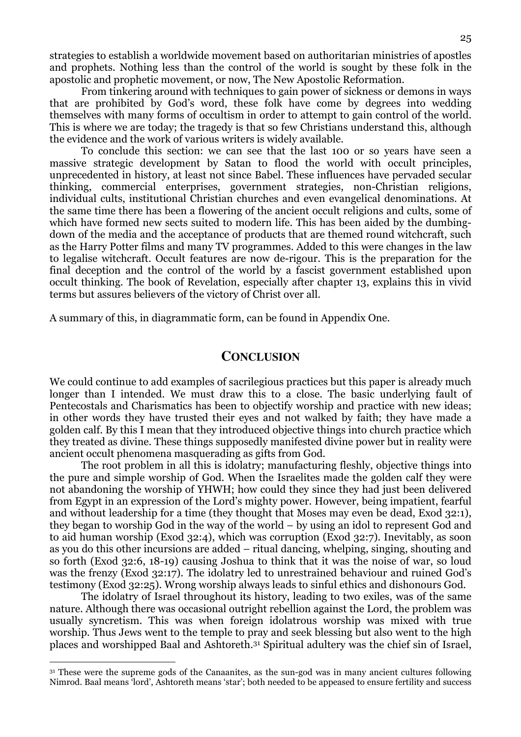strategies to establish a worldwide movement based on authoritarian ministries of apostles and prophets. Nothing less than the control of the world is sought by these folk in the apostolic and prophetic movement, or now, The New Apostolic Reformation.

From tinkering around with techniques to gain power of sickness or demons in ways that are prohibited by God's word, these folk have come by degrees into wedding themselves with many forms of occultism in order to attempt to gain control of the world. This is where we are today; the tragedy is that so few Christians understand this, although the evidence and the work of various writers is widely available.

To conclude this section: we can see that the last 100 or so years have seen a massive strategic development by Satan to flood the world with occult principles, unprecedented in history, at least not since Babel. These influences have pervaded secular thinking, commercial enterprises, government strategies, non-Christian religions, individual cults, institutional Christian churches and even evangelical denominations. At the same time there has been a flowering of the ancient occult religions and cults, some of which have formed new sects suited to modern life. This has been aided by the dumbingdown of the media and the acceptance of products that are themed round witchcraft, such as the Harry Potter films and many TV programmes. Added to this were changes in the law to legalise witchcraft. Occult features are now de-rigour. This is the preparation for the final deception and the control of the world by a fascist government established upon occult thinking. The book of Revelation, especially after chapter 13, explains this in vivid terms but assures believers of the victory of Christ over all.

A summary of this, in diagrammatic form, can be found in Appendix One.

### **CONCLUSION**

We could continue to add examples of sacrilegious practices but this paper is already much longer than I intended. We must draw this to a close. The basic underlying fault of Pentecostals and Charismatics has been to objectify worship and practice with new ideas; in other words they have trusted their eyes and not walked by faith; they have made a golden calf. By this I mean that they introduced objective things into church practice which they treated as divine. These things supposedly manifested divine power but in reality were ancient occult phenomena masquerading as gifts from God.

 The root problem in all this is idolatry; manufacturing fleshly, objective things into the pure and simple worship of God. When the Israelites made the golden calf they were not abandoning the worship of YHWH; how could they since they had just been delivered from Egypt in an expression of the Lord's mighty power. However, being impatient, fearful and without leadership for a time (they thought that Moses may even be dead, Exod 32:1), they began to worship God in the way of the world – by using an idol to represent God and to aid human worship (Exod 32:4), which was corruption (Exod 32:7). Inevitably, as soon as you do this other incursions are added – ritual dancing, whelping, singing, shouting and so forth (Exod 32:6, 18-19) causing Joshua to think that it was the noise of war, so loud was the frenzy (Exod 32:17). The idolatry led to unrestrained behaviour and ruined God's testimony (Exod 32:25). Wrong worship always leads to sinful ethics and dishonours God.

 The idolatry of Israel throughout its history, leading to two exiles, was of the same nature. Although there was occasional outright rebellion against the Lord, the problem was usually syncretism. This was when foreign idolatrous worship was mixed with true worship. Thus Jews went to the temple to pray and seek blessing but also went to the high places and worshipped Baal and Ashtoreth.31 Spiritual adultery was the chief sin of Israel,

<sup>&</sup>lt;sup>31</sup> These were the supreme gods of the Canaanites, as the sun-god was in many ancient cultures following Nimrod. Baal means 'lord', Ashtoreth means 'star'; both needed to be appeased to ensure fertility and success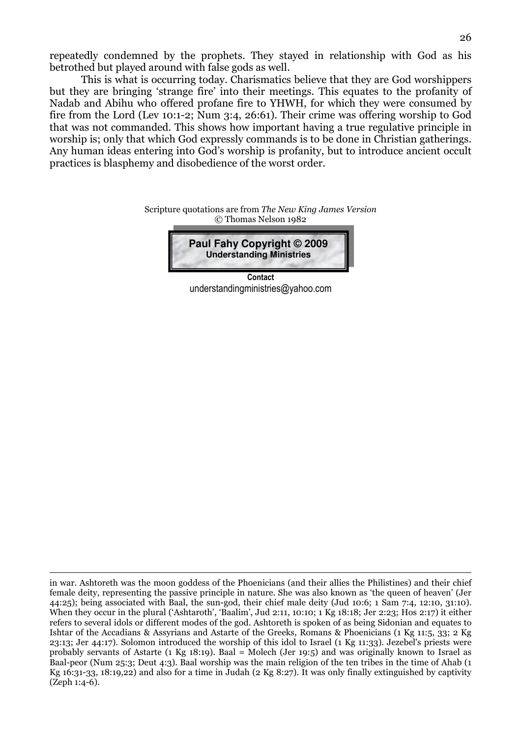repeatedly condemned by the prophets. They stayed in relationship with God as his betrothed but played around with false gods as well.

 This is what is occurring today. Charismatics believe that they are God worshippers but they are bringing 'strange fire' into their meetings. This equates to the profanity of Nadab and Abihu who offered profane fire to YHWH, for which they were consumed by fire from the Lord (Lev 10:1-2; Num 3:4, 26:61). Their crime was offering worship to God that was not commanded. This shows how important having a true regulative principle in worship is; only that which God expressly commands is to be done in Christian gatherings. Any human ideas entering into God's worship is profanity, but to introduce ancient occult practices is blasphemy and disobedience of the worst order.

# Scripture quotations are from The New King James Version © Thomas Nelson 1982 **Paul Fahy Copyright © 2009 Understanding Ministries**

**Contact** understandingministries@yahoo.com

in war. Ashtoreth was the moon goddess of the Phoenicians (and their allies the Philistines) and their chief female deity, representing the passive principle in nature. She was also known as 'the queen of heaven' (Jer 44:25); being associated with Baal, the sun-god, their chief male deity (Jud 10:6; 1 Sam 7:4, 12:10, 31:10). When they occur in the plural ('Ashtaroth', 'Baalim', Jud 2:11, 10:10; 1 Kg 18:18; Jer 2:23; Hos 2:17) it either refers to several idols or different modes of the god. Ashtoreth is spoken of as being Sidonian and equates to Ishtar of the Accadians & Assyrians and Astarte of the Greeks, Romans & Phoenicians (1 Kg 11:5, 33; 2 Kg 23:13; Jer 44:17). Solomon introduced the worship of this idol to Israel (1 Kg 11:33). Jezebel's priests were probably servants of Astarte (1 Kg 18:19). Baal = Molech (Jer 19:5) and was originally known to Israel as Baal-peor (Num 25:3; Deut 4:3). Baal worship was the main religion of the ten tribes in the time of Ahab (1 Kg 16:31-33, 18:19,22) and also for a time in Judah (2 Kg 8:27). It was only finally extinguished by captivity (Zeph 1:4-6).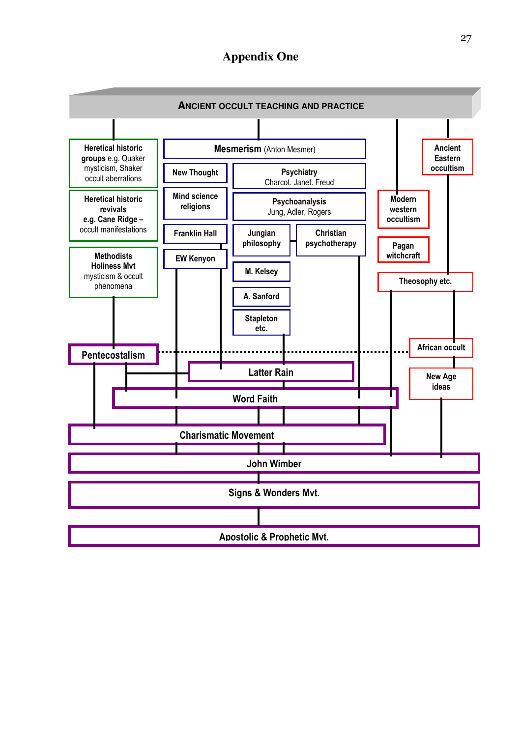# **Appendix One**

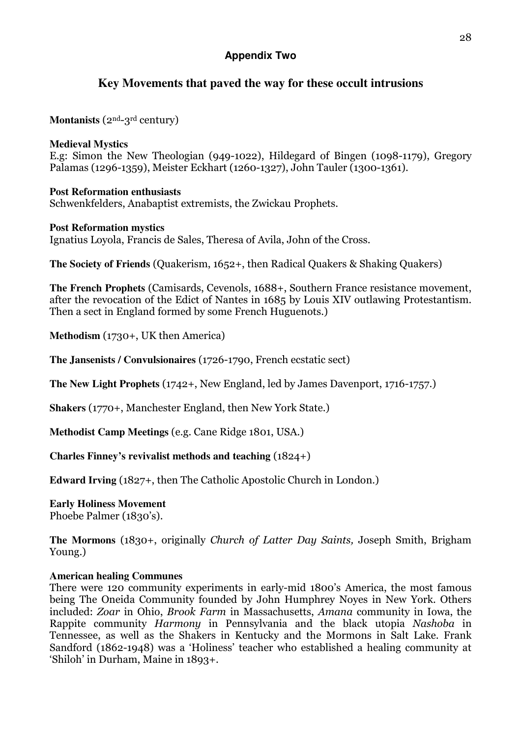# **Appendix Two**

# **Key Movements that paved the way for these occult intrusions**

**Montanists** (2nd-3rd century)

### **Medieval Mystics**

E.g: Simon the New Theologian (949-1022), Hildegard of Bingen (1098-1179), Gregory Palamas (1296-1359), Meister Eckhart (1260-1327), John Tauler (1300-1361).

### **Post Reformation enthusiasts**

Schwenkfelders, Anabaptist extremists, the Zwickau Prophets.

### **Post Reformation mystics**

Ignatius Loyola, Francis de Sales, Theresa of Avila, John of the Cross.

**The Society of Friends** (Quakerism, 1652+, then Radical Quakers & Shaking Quakers)

**The French Prophets** (Camisards, Cevenols, 1688+, Southern France resistance movement, after the revocation of the Edict of Nantes in 1685 by Louis XIV outlawing Protestantism. Then a sect in England formed by some French Huguenots.)

**Methodism** (1730+, UK then America)

**The Jansenists / Convulsionaires** (1726-1790, French ecstatic sect)

**The New Light Prophets** (1742+, New England, led by James Davenport, 1716-1757.)

**Shakers** (1770+, Manchester England, then New York State.)

**Methodist Camp Meetings** (e.g. Cane Ridge 1801, USA.)

**Charles Finney's revivalist methods and teaching** (1824+)

**Edward Irving** (1827+, then The Catholic Apostolic Church in London.)

**Early Holiness Movement**  Phoebe Palmer (1830's).

**The Mormons** (1830+, originally Church of Latter Day Saints, Joseph Smith, Brigham Young.)

### **American healing Communes**

There were 120 community experiments in early-mid 1800's America, the most famous being The Oneida Community founded by John Humphrey Noyes in New York. Others included: Zoar in Ohio, Brook Farm in Massachusetts, Amana community in Iowa, the Rappite community Harmony in Pennsylvania and the black utopia Nashoba in Tennessee, as well as the Shakers in Kentucky and the Mormons in Salt Lake. Frank Sandford (1862-1948) was a 'Holiness' teacher who established a healing community at 'Shiloh' in Durham, Maine in 1893+.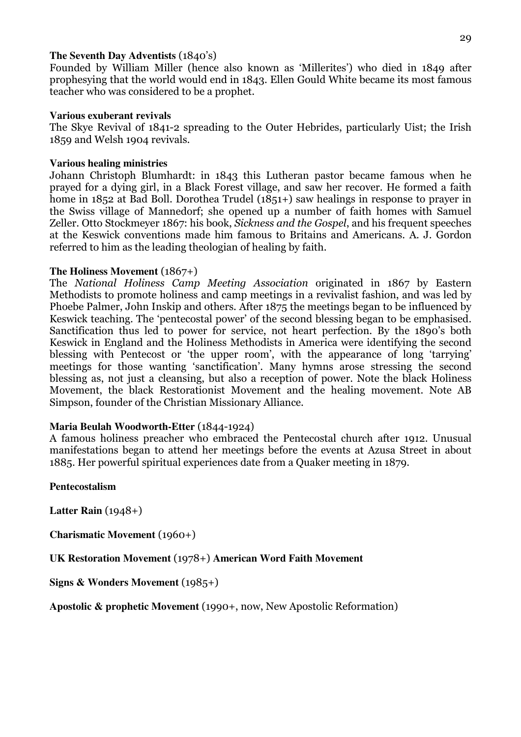### **The Seventh Day Adventists** (1840's)

Founded by William Miller (hence also known as 'Millerites') who died in 1849 after prophesying that the world would end in 1843. Ellen Gould White became its most famous teacher who was considered to be a prophet.

### **Various exuberant revivals**

The Skye Revival of 1841-2 spreading to the Outer Hebrides, particularly Uist; the Irish 1859 and Welsh 1904 revivals.

### **Various healing ministries**

Johann Christoph Blumhardt: in 1843 this Lutheran pastor became famous when he prayed for a dying girl, in a Black Forest village, and saw her recover. He formed a faith home in 1852 at Bad Boll. Dorothea Trudel (1851+) saw healings in response to prayer in the Swiss village of Mannedorf; she opened up a number of faith homes with Samuel Zeller. Otto Stockmeyer 1867: his book, Sickness and the Gospel, and his frequent speeches at the Keswick conventions made him famous to Britains and Americans. A. J. Gordon referred to him as the leading theologian of healing by faith.

### **The Holiness Movement** (1867+)

The National Holiness Camp Meeting Association originated in 1867 by Eastern Methodists to promote holiness and camp meetings in a revivalist fashion, and was led by Phoebe Palmer, John Inskip and others. After 1875 the meetings began to be influenced by Keswick teaching. The 'pentecostal power' of the second blessing began to be emphasised. Sanctification thus led to power for service, not heart perfection. By the 1890's both Keswick in England and the Holiness Methodists in America were identifying the second blessing with Pentecost or 'the upper room', with the appearance of long 'tarrying' meetings for those wanting 'sanctification'. Many hymns arose stressing the second blessing as, not just a cleansing, but also a reception of power. Note the black Holiness Movement, the black Restorationist Movement and the healing movement. Note AB Simpson, founder of the Christian Missionary Alliance.

### **Maria Beulah Woodworth-Etter** (1844-1924)

A famous holiness preacher who embraced the Pentecostal church after 1912. Unusual manifestations began to attend her meetings before the events at Azusa Street in about 1885. Her powerful spiritual experiences date from a Quaker meeting in 1879.

### **Pentecostalism**

**Latter Rain** (1948+)

**Charismatic Movement** (1960+)

**UK Restoration Movement** (1978+) **American Word Faith Movement** 

**Signs & Wonders Movement** (1985+)

**Apostolic & prophetic Movement** (1990+, now, New Apostolic Reformation)